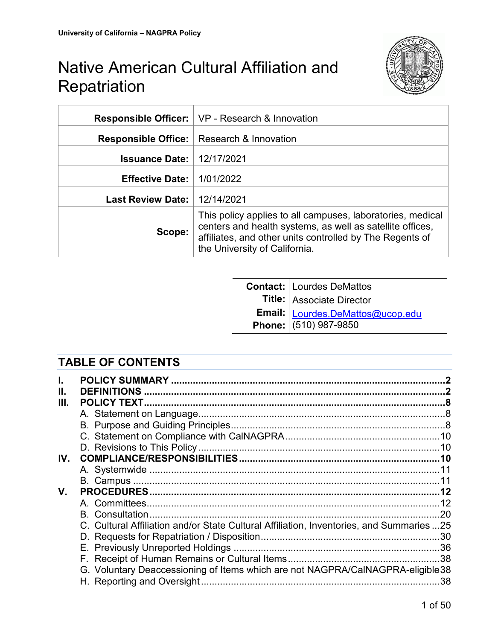

|                                    | <b>Responsible Officer:</b>   VP - Research & Innovation                                                                                                                                                             |
|------------------------------------|----------------------------------------------------------------------------------------------------------------------------------------------------------------------------------------------------------------------|
|                                    | <b>Responsible Office:</b>   Research & Innovation                                                                                                                                                                   |
| <b>Issuance Date:   12/17/2021</b> |                                                                                                                                                                                                                      |
| <b>Effective Date:</b>             | 1/01/2022                                                                                                                                                                                                            |
| Last Review Date:   12/14/2021     |                                                                                                                                                                                                                      |
| Scope:                             | This policy applies to all campuses, laboratories, medical<br>centers and health systems, as well as satellite offices,<br>affiliates, and other units controlled by The Regents of<br>the University of California. |

| Contact: Lourdes DeMattos<br>Title: Associate Director<br>Email: Lourdes DeMattos@ucop.edu<br>Phone: (510) 987-9850 |
|---------------------------------------------------------------------------------------------------------------------|
|                                                                                                                     |
|                                                                                                                     |
|                                                                                                                     |

# **TABLE OF CONTENTS**

|     | <b>DEFINITIONS</b>                                                                       |     |
|-----|------------------------------------------------------------------------------------------|-----|
|     |                                                                                          |     |
|     |                                                                                          |     |
|     |                                                                                          |     |
|     |                                                                                          |     |
|     |                                                                                          |     |
| IV. |                                                                                          |     |
|     |                                                                                          |     |
|     |                                                                                          |     |
| V.  |                                                                                          |     |
|     |                                                                                          |     |
|     |                                                                                          |     |
|     | C. Cultural Affiliation and/or State Cultural Affiliation, Inventories, and Summaries 25 |     |
|     |                                                                                          |     |
|     |                                                                                          |     |
|     |                                                                                          |     |
|     | G. Voluntary Deaccessioning of Items which are not NAGPRA/CalNAGPRA-eligible 38          |     |
|     |                                                                                          | .38 |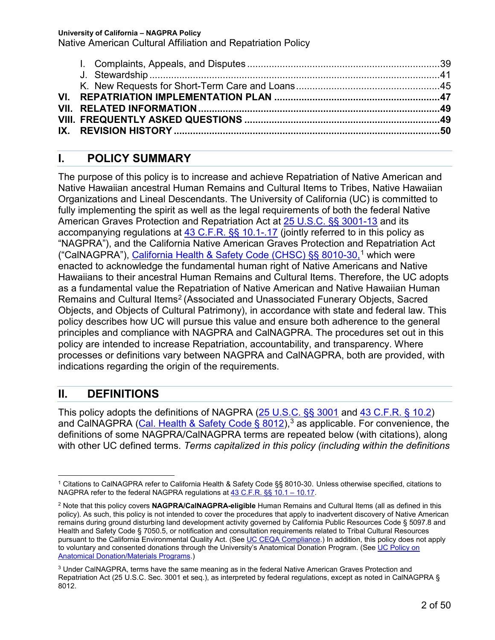| IX. REVISION HISTORY ………………………………………………………………………………………50 |  |
|----------------------------------------------------------|--|
|                                                          |  |

# **I. POLICY SUMMARY**

The purpose of this policy is to increase and achieve Repatriation of Native American and Native Hawaiian ancestral Human Remains and Cultural Items to Tribes, Native Hawaiian Organizations and Lineal Descendants. The University of California (UC) is committed to fully implementing the spirit as well as the legal requirements of both the federal Native American Graves Protection and Repatriation Act at **25 U.S.C. §§ 3001-13** and its accompanying regulations at 43 C.F.R. §§ 10.1-.17 (jointly referred to in this policy as "NAGPRA"), and the California Native American Graves Protection and Repatriation Act ("CalNAGPRA"), California Health & Safety Code (CHSC) §§ 8010-30,<sup>1</sup> which were enacted to acknowledge the fundamental human right of Native Americans and Native Hawaiians to their ancestral Human Remains and Cultural Items. Therefore, the UC adopts as a fundamental value the Repatriation of Native American and Native Hawaiian Human Remains and Cultural Items<sup>2</sup> (Associated and Unassociated Funerary Objects, Sacred Objects, and Objects of Cultural Patrimony), in accordance with state and federal law. This policy describes how UC will pursue this value and ensure both adherence to the general principles and compliance with NAGPRA and CalNAGPRA. The procedures set out in this policy are intended to increase Repatriation, accountability, and transparency. Where processes or definitions vary between NAGPRA and CalNAGPRA, both are provided, with indications regarding the origin of the requirements.

# **II. DEFINITIONS**

This policy adopts the definitions of NAGPRA (25 U.S.C. §§ 3001 and 43 C.F.R. § 10.2) and CalNAGPRA (Cal. Health & Safety Code § 8012),  $3$  as applicable. For convenience, the definitions of some NAGPRA/CalNAGPRA terms are repeated below (with citations), along with other UC defined terms. *Terms capitalized in this policy (including within the definitions* 

 <sup>1</sup> Citations to CalNAGPRA refer to California Health & Safety Code §§ 8010-30. Unless otherwise specified, citations to NAGPRA refer to the federal NAGPRA regulations at 43 C.F.R. §§ 10.1 – 10.17.

<sup>2</sup> Note that this policy covers **NAGPRA/CalNAGPRA-eligible** Human Remains and Cultural Items (all as defined in this policy). As such, this policy is not intended to cover the procedures that apply to inadvertent discovery of Native American remains during ground disturbing land development activity governed by California Public Resources Code § 5097.8 and Health and Safety Code § 7050.5, or notification and consultation requirements related to Tribal Cultural Resources pursuant to the California Environmental Quality Act. (See UC CEQA Compliance.) In addition, this policy does not apply to voluntary and consented donations through the University's Anatomical Donation Program. (See UC Policy on Anatomical Donation/Materials Programs.)

<sup>3</sup> Under CalNAGPRA, terms have the same meaning as in the federal Native American Graves Protection and Repatriation Act (25 U.S.C. Sec. 3001 et seq.), as interpreted by federal regulations, except as noted in CalNAGPRA § 8012.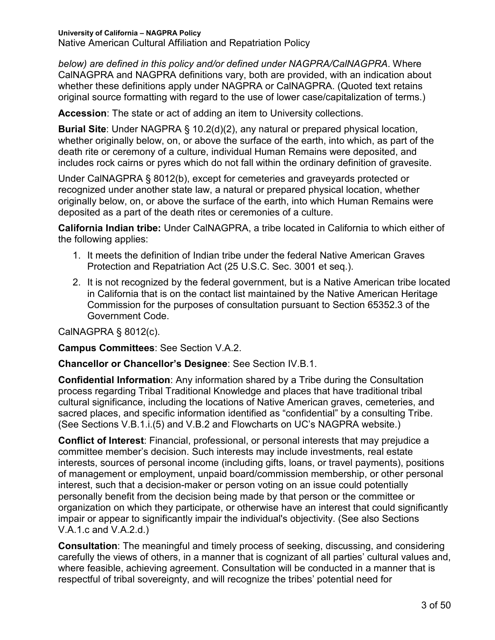**University of California – NAGPRA Policy** Native American Cultural Affiliation and Repatriation Policy

*below) are defined in this policy and/or defined under NAGPRA/CalNAGPRA*. Where CalNAGPRA and NAGPRA definitions vary, both are provided, with an indication about whether these definitions apply under NAGPRA or CalNAGPRA. (Quoted text retains original source formatting with regard to the use of lower case/capitalization of terms.)

**Accession**: The state or act of adding an item to University collections.

**Burial Site**: Under NAGPRA § 10.2(d)(2), any natural or prepared physical location, whether originally below, on, or above the surface of the earth, into which, as part of the death rite or ceremony of a culture, individual Human Remains were deposited, and includes rock cairns or pyres which do not fall within the ordinary definition of gravesite.

Under CalNAGPRA § 8012(b), except for cemeteries and graveyards protected or recognized under another state law, a natural or prepared physical location, whether originally below, on, or above the surface of the earth, into which Human Remains were deposited as a part of the death rites or ceremonies of a culture.

**California Indian tribe:** Under CalNAGPRA, a tribe located in California to which either of the following applies:

- 1. It meets the definition of Indian tribe under the federal Native American Graves Protection and Repatriation Act (25 U.S.C. Sec. 3001 et seq.).
- 2. It is not recognized by the federal government, but is a Native American tribe located in California that is on the contact list maintained by the Native American Heritage Commission for the purposes of consultation pursuant to Section 65352.3 of the Government Code.

CalNAGPRA § 8012(c).

**Campus Committees**: See Section V.A.2.

**Chancellor or Chancellor's Designee**: See Section IV.B.1.

**Confidential Information**: Any information shared by a Tribe during the Consultation process regarding Tribal Traditional Knowledge and places that have traditional tribal cultural significance, including the locations of Native American graves, cemeteries, and sacred places, and specific information identified as "confidential" by a consulting Tribe. (See Sections V.B.1.i.(5) and V.B.2 and Flowcharts on UC's NAGPRA website.)

**Conflict of Interest**: Financial, professional, or personal interests that may prejudice a committee member's decision. Such interests may include investments, real estate interests, sources of personal income (including gifts, loans, or travel payments), positions of management or employment, unpaid board/commission membership, or other personal interest, such that a decision-maker or person voting on an issue could potentially personally benefit from the decision being made by that person or the committee or organization on which they participate, or otherwise have an interest that could significantly impair or appear to significantly impair the individual's objectivity. (See also Sections V.A.1.c and V.A.2.d.)

**Consultation**: The meaningful and timely process of seeking, discussing, and considering carefully the views of others, in a manner that is cognizant of all parties' cultural values and, where feasible, achieving agreement. Consultation will be conducted in a manner that is respectful of tribal sovereignty, and will recognize the tribes' potential need for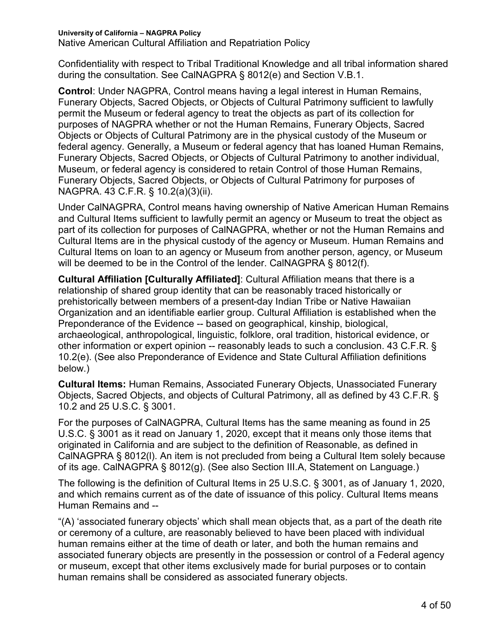Native American Cultural Affiliation and Repatriation Policy

Confidentiality with respect to Tribal Traditional Knowledge and all tribal information shared during the consultation. See CalNAGPRA § 8012(e) and Section V.B.1.

**Control**: Under NAGPRA, Control means having a legal interest in Human Remains, Funerary Objects, Sacred Objects, or Objects of Cultural Patrimony sufficient to lawfully permit the Museum or federal agency to treat the objects as part of its collection for purposes of NAGPRA whether or not the Human Remains, Funerary Objects, Sacred Objects or Objects of Cultural Patrimony are in the physical custody of the Museum or federal agency. Generally, a Museum or federal agency that has loaned Human Remains, Funerary Objects, Sacred Objects, or Objects of Cultural Patrimony to another individual, Museum, or federal agency is considered to retain Control of those Human Remains, Funerary Objects, Sacred Objects, or Objects of Cultural Patrimony for purposes of NAGPRA. 43 C.F.R. § 10.2(a)(3)(ii).

Under CalNAGPRA, Control means having ownership of Native American Human Remains and Cultural Items sufficient to lawfully permit an agency or Museum to treat the object as part of its collection for purposes of CalNAGPRA, whether or not the Human Remains and Cultural Items are in the physical custody of the agency or Museum. Human Remains and Cultural Items on loan to an agency or Museum from another person, agency, or Museum will be deemed to be in the Control of the lender. CalNAGPRA § 8012(f).

**Cultural Affiliation [Culturally Affiliated]**: Cultural Affiliation means that there is a relationship of shared group identity that can be reasonably traced historically or prehistorically between members of a present-day Indian Tribe or Native Hawaiian Organization and an identifiable earlier group. Cultural Affiliation is established when the Preponderance of the Evidence -- based on geographical, kinship, biological, archaeological, anthropological, linguistic, folklore, oral tradition, historical evidence, or other information or expert opinion -- reasonably leads to such a conclusion. 43 C.F.R. § 10.2(e). (See also Preponderance of Evidence and State Cultural Affiliation definitions below.)

**Cultural Items:** Human Remains, Associated Funerary Objects, Unassociated Funerary Objects, Sacred Objects, and objects of Cultural Patrimony, all as defined by 43 C.F.R. § 10.2 and 25 U.S.C. § 3001.

For the purposes of CalNAGPRA, Cultural Items has the same meaning as found in 25 U.S.C. § 3001 as it read on January 1, 2020, except that it means only those items that originated in California and are subject to the definition of Reasonable, as defined in CalNAGPRA § 8012(l). An item is not precluded from being a Cultural Item solely because of its age. CalNAGPRA § 8012(g). (See also Section III.A, Statement on Language.)

The following is the definition of Cultural Items in 25 U.S.C. § 3001, as of January 1, 2020, and which remains current as of the date of issuance of this policy. Cultural Items means Human Remains and --

"(A) 'associated funerary objects' which shall mean objects that, as a part of the death rite or ceremony of a culture, are reasonably believed to have been placed with individual human remains either at the time of death or later, and both the human remains and associated funerary objects are presently in the possession or control of a Federal agency or museum, except that other items exclusively made for burial purposes or to contain human remains shall be considered as associated funerary objects.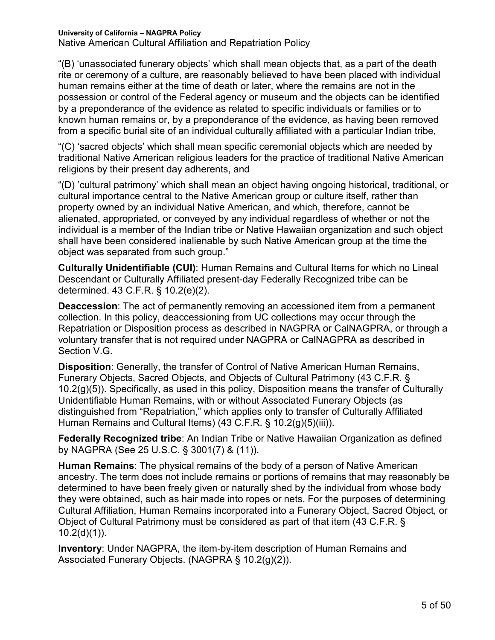Native American Cultural Affiliation and Repatriation Policy

"(B) 'unassociated funerary objects' which shall mean objects that, as a part of the death rite or ceremony of a culture, are reasonably believed to have been placed with individual human remains either at the time of death or later, where the remains are not in the possession or control of the Federal agency or museum and the objects can be identified by a preponderance of the evidence as related to specific individuals or families or to known human remains or, by a preponderance of the evidence, as having been removed from a specific burial site of an individual culturally affiliated with a particular Indian tribe,

"(C) 'sacred objects' which shall mean specific ceremonial objects which are needed by traditional Native American religious leaders for the practice of traditional Native American religions by their present day adherents, and

"(D) 'cultural patrimony' which shall mean an object having ongoing historical, traditional, or cultural importance central to the Native American group or culture itself, rather than property owned by an individual Native American, and which, therefore, cannot be alienated, appropriated, or conveyed by any individual regardless of whether or not the individual is a member of the Indian tribe or Native Hawaiian organization and such object shall have been considered inalienable by such Native American group at the time the object was separated from such group."

**Culturally Unidentifiable (CUI)**: Human Remains and Cultural Items for which no Lineal Descendant or Culturally Affiliated present-day Federally Recognized tribe can be determined. 43 C.F.R. § 10.2(e)(2).

**Deaccession**: The act of permanently removing an accessioned item from a permanent collection. In this policy, deaccessioning from UC collections may occur through the Repatriation or Disposition process as described in NAGPRA or CalNAGPRA, or through a voluntary transfer that is not required under NAGPRA or CalNAGPRA as described in Section V.G.

**Disposition**: Generally, the transfer of Control of Native American Human Remains, Funerary Objects, Sacred Objects, and Objects of Cultural Patrimony (43 C.F.R. § 10.2(g)(5)). Specifically, as used in this policy, Disposition means the transfer of Culturally Unidentifiable Human Remains, with or without Associated Funerary Objects (as distinguished from "Repatriation," which applies only to transfer of Culturally Affiliated Human Remains and Cultural Items) (43 C.F.R. § 10.2(g)(5)(iii)).

**Federally Recognized tribe**: An Indian Tribe or Native Hawaiian Organization as defined by NAGPRA (See 25 U.S.C. § 3001(7) & (11)).

**Human Remains**: The physical remains of the body of a person of Native American ancestry. The term does not include remains or portions of remains that may reasonably be determined to have been freely given or naturally shed by the individual from whose body they were obtained, such as hair made into ropes or nets. For the purposes of determining Cultural Affiliation, Human Remains incorporated into a Funerary Object, Sacred Object, or Object of Cultural Patrimony must be considered as part of that item (43 C.F.R. §  $10.2(d)(1)$ ).

**Inventory**: Under NAGPRA, the item-by-item description of Human Remains and Associated Funerary Objects. (NAGPRA § 10.2(g)(2)).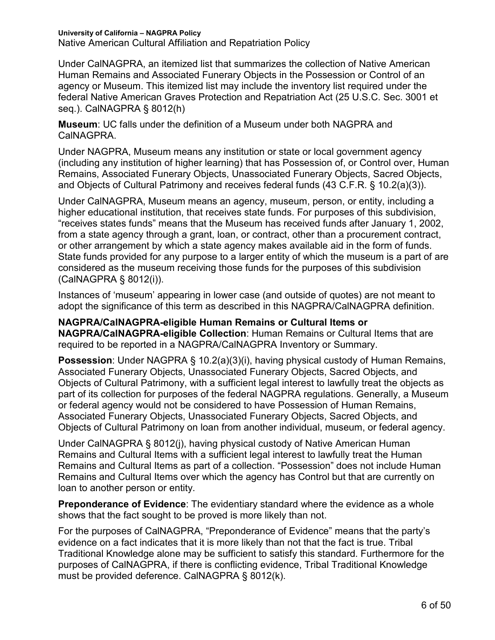**University of California – NAGPRA Policy** Native American Cultural Affiliation and Repatriation Policy

Under CalNAGPRA, an itemized list that summarizes the collection of Native American Human Remains and Associated Funerary Objects in the Possession or Control of an agency or Museum. This itemized list may include the inventory list required under the federal Native American Graves Protection and Repatriation Act (25 U.S.C. Sec. 3001 et seq.). CalNAGPRA § 8012(h)

**Museum**: UC falls under the definition of a Museum under both NAGPRA and CalNAGPRA.

Under NAGPRA, Museum means any institution or state or local government agency (including any institution of higher learning) that has Possession of, or Control over, Human Remains, Associated Funerary Objects, Unassociated Funerary Objects, Sacred Objects, and Objects of Cultural Patrimony and receives federal funds (43 C.F.R. § 10.2(a)(3)).

Under CalNAGPRA, Museum means an agency, museum, person, or entity, including a higher educational institution, that receives state funds. For purposes of this subdivision, "receives states funds" means that the Museum has received funds after January 1, 2002, from a state agency through a grant, loan, or contract, other than a procurement contract, or other arrangement by which a state agency makes available aid in the form of funds. State funds provided for any purpose to a larger entity of which the museum is a part of are considered as the museum receiving those funds for the purposes of this subdivision (CalNAGPRA § 8012(i)).

Instances of 'museum' appearing in lower case (and outside of quotes) are not meant to adopt the significance of this term as described in this NAGPRA/CalNAGPRA definition.

**NAGPRA/CalNAGPRA-eligible Human Remains or Cultural Items or NAGPRA/CalNAGPRA-eligible Collection**: Human Remains or Cultural Items that are required to be reported in a NAGPRA/CalNAGPRA Inventory or Summary.

**Possession**: Under NAGPRA § 10.2(a)(3)(i), having physical custody of Human Remains, Associated Funerary Objects, Unassociated Funerary Objects, Sacred Objects, and Objects of Cultural Patrimony, with a sufficient legal interest to lawfully treat the objects as part of its collection for purposes of the federal NAGPRA regulations. Generally, a Museum or federal agency would not be considered to have Possession of Human Remains, Associated Funerary Objects, Unassociated Funerary Objects, Sacred Objects, and Objects of Cultural Patrimony on loan from another individual, museum, or federal agency.

Under CalNAGPRA § 8012(j), having physical custody of Native American Human Remains and Cultural Items with a sufficient legal interest to lawfully treat the Human Remains and Cultural Items as part of a collection. "Possession" does not include Human Remains and Cultural Items over which the agency has Control but that are currently on loan to another person or entity.

**Preponderance of Evidence**: The evidentiary standard where the evidence as a whole shows that the fact sought to be proved is more likely than not.

For the purposes of CalNAGPRA, "Preponderance of Evidence" means that the party's evidence on a fact indicates that it is more likely than not that the fact is true. Tribal Traditional Knowledge alone may be sufficient to satisfy this standard. Furthermore for the purposes of CalNAGPRA, if there is conflicting evidence, Tribal Traditional Knowledge must be provided deference. CalNAGPRA § 8012(k).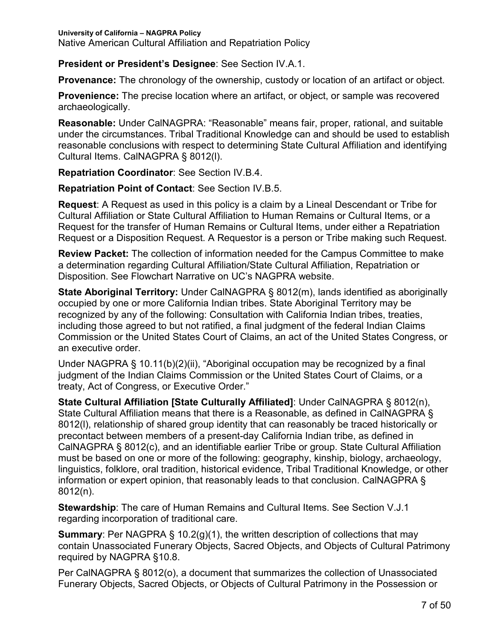Native American Cultural Affiliation and Repatriation Policy

**President or President's Designee**: See Section IV.A.1.

**Provenance:** The chronology of the ownership, custody or location of an artifact or object.

**Provenience:** The precise location where an artifact, or object, or sample was recovered archaeologically.

**Reasonable:** Under CalNAGPRA: "Reasonable" means fair, proper, rational, and suitable under the circumstances. Tribal Traditional Knowledge can and should be used to establish reasonable conclusions with respect to determining State Cultural Affiliation and identifying Cultural Items. CalNAGPRA § 8012(l).

**Repatriation Coordinator**: See Section IV.B.4.

**Repatriation Point of Contact**: See Section IV.B.5.

**Request**: A Request as used in this policy is a claim by a Lineal Descendant or Tribe for Cultural Affiliation or State Cultural Affiliation to Human Remains or Cultural Items, or a Request for the transfer of Human Remains or Cultural Items, under either a Repatriation Request or a Disposition Request. A Requestor is a person or Tribe making such Request.

**Review Packet:** The collection of information needed for the Campus Committee to make a determination regarding Cultural Affiliation/State Cultural Affiliation, Repatriation or Disposition. See Flowchart Narrative on UC's NAGPRA website.

**State Aboriginal Territory:** Under CalNAGPRA § 8012(m), lands identified as aboriginally occupied by one or more California Indian tribes. State Aboriginal Territory may be recognized by any of the following: Consultation with California Indian tribes, treaties, including those agreed to but not ratified, a final judgment of the federal Indian Claims Commission or the United States Court of Claims, an act of the United States Congress, or an executive order.

Under NAGPRA § 10.11(b)(2)(ii), "Aboriginal occupation may be recognized by a final judgment of the Indian Claims Commission or the United States Court of Claims, or a treaty, Act of Congress, or Executive Order."

**State Cultural Affiliation [State Culturally Affiliated]**: Under CalNAGPRA § 8012(n), State Cultural Affiliation means that there is a Reasonable, as defined in CalNAGPRA § 8012(l), relationship of shared group identity that can reasonably be traced historically or precontact between members of a present-day California Indian tribe, as defined in CalNAGPRA § 8012(c), and an identifiable earlier Tribe or group. State Cultural Affiliation must be based on one or more of the following: geography, kinship, biology, archaeology, linguistics, folklore, oral tradition, historical evidence, Tribal Traditional Knowledge, or other information or expert opinion, that reasonably leads to that conclusion. CalNAGPRA § 8012(n).

**Stewardship**: The care of Human Remains and Cultural Items. See Section V.J.1 regarding incorporation of traditional care.

**Summary:** Per NAGPRA § 10.2(g)(1), the written description of collections that may contain Unassociated Funerary Objects, Sacred Objects, and Objects of Cultural Patrimony required by NAGPRA §10.8.

Per CalNAGPRA § 8012(o), a document that summarizes the collection of Unassociated Funerary Objects, Sacred Objects, or Objects of Cultural Patrimony in the Possession or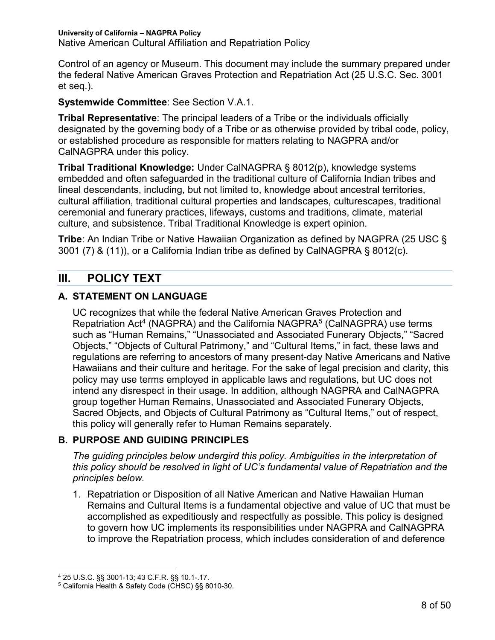**University of California – NAGPRA Policy** Native American Cultural Affiliation and Repatriation Policy

Control of an agency or Museum. This document may include the summary prepared under the federal Native American Graves Protection and Repatriation Act (25 U.S.C. Sec. 3001 et seq.).

**Systemwide Committee**: See Section V.A.1.

**Tribal Representative**: The principal leaders of a Tribe or the individuals officially designated by the governing body of a Tribe or as otherwise provided by tribal code, policy, or established procedure as responsible for matters relating to NAGPRA and/or CalNAGPRA under this policy.

**Tribal Traditional Knowledge:** Under CalNAGPRA § 8012(p), knowledge systems embedded and often safeguarded in the traditional culture of California Indian tribes and lineal descendants, including, but not limited to, knowledge about ancestral territories, cultural affiliation, traditional cultural properties and landscapes, culturescapes, traditional ceremonial and funerary practices, lifeways, customs and traditions, climate, material culture, and subsistence. Tribal Traditional Knowledge is expert opinion.

**Tribe**: An Indian Tribe or Native Hawaiian Organization as defined by NAGPRA (25 USC § 3001 (7) & (11)), or a California Indian tribe as defined by CalNAGPRA § 8012(c).

# **III. POLICY TEXT**

### **A. STATEMENT ON LANGUAGE**

UC recognizes that while the federal Native American Graves Protection and Repatriation Act<sup>4</sup> (NAGPRA) and the California NAGPRA<sup>5</sup> (CalNAGPRA) use terms such as "Human Remains," "Unassociated and Associated Funerary Objects," "Sacred Objects," "Objects of Cultural Patrimony," and "Cultural Items," in fact, these laws and regulations are referring to ancestors of many present-day Native Americans and Native Hawaiians and their culture and heritage. For the sake of legal precision and clarity, this policy may use terms employed in applicable laws and regulations, but UC does not intend any disrespect in their usage. In addition, although NAGPRA and CalNAGPRA group together Human Remains, Unassociated and Associated Funerary Objects, Sacred Objects, and Objects of Cultural Patrimony as "Cultural Items," out of respect, this policy will generally refer to Human Remains separately.

### **B. PURPOSE AND GUIDING PRINCIPLES**

*The guiding principles below undergird this policy. Ambiguities in the interpretation of this policy should be resolved in light of UC's fundamental value of Repatriation and the principles below.*

1. Repatriation or Disposition of all Native American and Native Hawaiian Human Remains and Cultural Items is a fundamental objective and value of UC that must be accomplished as expeditiously and respectfully as possible. This policy is designed to govern how UC implements its responsibilities under NAGPRA and CalNAGPRA to improve the Repatriation process, which includes consideration of and deference

 <sup>4</sup> 25 U.S.C. §§ 3001-13; 43 C.F.R. §§ 10.1-.17.

<sup>5</sup> California Health & Safety Code (CHSC) §§ 8010-30.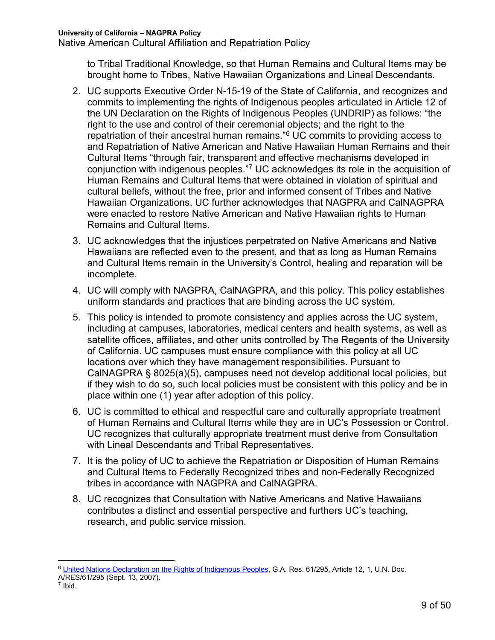Native American Cultural Affiliation and Repatriation Policy

to Tribal Traditional Knowledge, so that Human Remains and Cultural Items may be brought home to Tribes, Native Hawaiian Organizations and Lineal Descendants.

- 2. UC supports Executive Order N-15-19 of the State of California, and recognizes and commits to implementing the rights of Indigenous peoples articulated in Article 12 of the UN Declaration on the Rights of Indigenous Peoples (UNDRIP) as follows: "the right to the use and control of their ceremonial objects; and the right to the repatriation of their ancestral human remains."6 UC commits to providing access to and Repatriation of Native American and Native Hawaiian Human Remains and their Cultural Items "through fair, transparent and effective mechanisms developed in conjunction with indigenous peoples."7 UC acknowledges its role in the acquisition of Human Remains and Cultural Items that were obtained in violation of spiritual and cultural beliefs, without the free, prior and informed consent of Tribes and Native Hawaiian Organizations. UC further acknowledges that NAGPRA and CalNAGPRA were enacted to restore Native American and Native Hawaiian rights to Human Remains and Cultural Items.
- 3. UC acknowledges that the injustices perpetrated on Native Americans and Native Hawaiians are reflected even to the present, and that as long as Human Remains and Cultural Items remain in the University's Control, healing and reparation will be incomplete.
- 4. UC will comply with NAGPRA, CalNAGPRA, and this policy. This policy establishes uniform standards and practices that are binding across the UC system.
- 5. This policy is intended to promote consistency and applies across the UC system, including at campuses, laboratories, medical centers and health systems, as well as satellite offices, affiliates, and other units controlled by The Regents of the University of California. UC campuses must ensure compliance with this policy at all UC locations over which they have management responsibilities. Pursuant to CalNAGPRA § 8025(a)(5), campuses need not develop additional local policies, but if they wish to do so, such local policies must be consistent with this policy and be in place within one (1) year after adoption of this policy.
- 6. UC is committed to ethical and respectful care and culturally appropriate treatment of Human Remains and Cultural Items while they are in UC's Possession or Control. UC recognizes that culturally appropriate treatment must derive from Consultation with Lineal Descendants and Tribal Representatives.
- 7. It is the policy of UC to achieve the Repatriation or Disposition of Human Remains and Cultural Items to Federally Recognized tribes and non-Federally Recognized tribes in accordance with NAGPRA and CalNAGPRA.
- 8. UC recognizes that Consultation with Native Americans and Native Hawaiians contributes a distinct and essential perspective and furthers UC's teaching, research, and public service mission.

<sup>&</sup>lt;sup>6</sup> United Nations Declaration on the Rights of Indigenous Peoples, G.A. Res. 61/295, Article 12, 1, U.N. Doc. A/RES/61/295 (Sept. 13, 2007).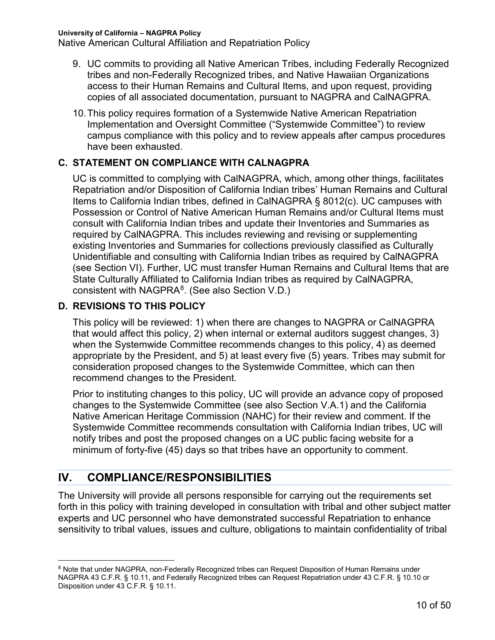Native American Cultural Affiliation and Repatriation Policy

- 9. UC commits to providing all Native American Tribes, including Federally Recognized tribes and non-Federally Recognized tribes, and Native Hawaiian Organizations access to their Human Remains and Cultural Items, and upon request, providing copies of all associated documentation, pursuant to NAGPRA and CalNAGPRA.
- 10.This policy requires formation of a Systemwide Native American Repatriation Implementation and Oversight Committee ("Systemwide Committee") to review campus compliance with this policy and to review appeals after campus procedures have been exhausted.

#### **C. STATEMENT ON COMPLIANCE WITH CALNAGPRA**

UC is committed to complying with CalNAGPRA, which, among other things, facilitates Repatriation and/or Disposition of California Indian tribes' Human Remains and Cultural Items to California Indian tribes, defined in CalNAGPRA § 8012(c). UC campuses with Possession or Control of Native American Human Remains and/or Cultural Items must consult with California Indian tribes and update their Inventories and Summaries as required by CalNAGPRA. This includes reviewing and revising or supplementing existing Inventories and Summaries for collections previously classified as Culturally Unidentifiable and consulting with California Indian tribes as required by CalNAGPRA (see Section VI). Further, UC must transfer Human Remains and Cultural Items that are State Culturally Affiliated to California Indian tribes as required by CalNAGPRA, consistent with NAGPRA $8$ . (See also Section V.D.)

#### **D. REVISIONS TO THIS POLICY**

This policy will be reviewed: 1) when there are changes to NAGPRA or CalNAGPRA that would affect this policy, 2) when internal or external auditors suggest changes, 3) when the Systemwide Committee recommends changes to this policy, 4) as deemed appropriate by the President, and 5) at least every five (5) years. Tribes may submit for consideration proposed changes to the Systemwide Committee, which can then recommend changes to the President.

Prior to instituting changes to this policy, UC will provide an advance copy of proposed changes to the Systemwide Committee (see also Section V.A.1) and the California Native American Heritage Commission (NAHC) for their review and comment. If the Systemwide Committee recommends consultation with California Indian tribes, UC will notify tribes and post the proposed changes on a UC public facing website for a minimum of forty-five (45) days so that tribes have an opportunity to comment.

# **IV. COMPLIANCE/RESPONSIBILITIES**

The University will provide all persons responsible for carrying out the requirements set forth in this policy with training developed in consultation with tribal and other subject matter experts and UC personnel who have demonstrated successful Repatriation to enhance sensitivity to tribal values, issues and culture, obligations to maintain confidentiality of tribal

<sup>8</sup> Note that under NAGPRA, non-Federally Recognized tribes can Request Disposition of Human Remains under NAGPRA 43 C.F.R. § 10.11, and Federally Recognized tribes can Request Repatriation under 43 C.F.R. § 10.10 or Disposition under 43 C.F.R. § 10.11.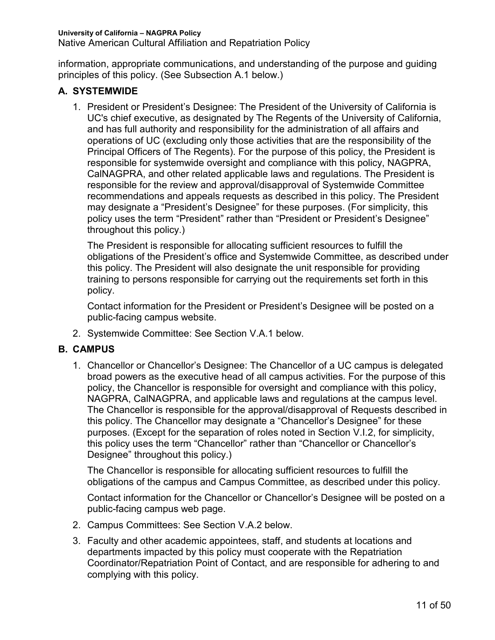Native American Cultural Affiliation and Repatriation Policy

information, appropriate communications, and understanding of the purpose and guiding principles of this policy. (See Subsection A.1 below.)

#### **A. SYSTEMWIDE**

1. President or President's Designee: The President of the University of California is UC's chief executive, as designated by The Regents of the University of California, and has full authority and responsibility for the administration of all affairs and operations of UC (excluding only those activities that are the responsibility of the Principal Officers of The Regents). For the purpose of this policy, the President is responsible for systemwide oversight and compliance with this policy, NAGPRA, CalNAGPRA, and other related applicable laws and regulations. The President is responsible for the review and approval/disapproval of Systemwide Committee recommendations and appeals requests as described in this policy. The President may designate a "President's Designee" for these purposes. (For simplicity, this policy uses the term "President" rather than "President or President's Designee" throughout this policy.)

The President is responsible for allocating sufficient resources to fulfill the obligations of the President's office and Systemwide Committee, as described under this policy. The President will also designate the unit responsible for providing training to persons responsible for carrying out the requirements set forth in this policy.

Contact information for the President or President's Designee will be posted on a public-facing campus website.

2. Systemwide Committee: See Section V.A.1 below.

#### **B. CAMPUS**

1. Chancellor or Chancellor's Designee: The Chancellor of a UC campus is delegated broad powers as the executive head of all campus activities. For the purpose of this policy, the Chancellor is responsible for oversight and compliance with this policy, NAGPRA, CalNAGPRA, and applicable laws and regulations at the campus level. The Chancellor is responsible for the approval/disapproval of Requests described in this policy. The Chancellor may designate a "Chancellor's Designee" for these purposes. (Except for the separation of roles noted in Section V.I.2, for simplicity, this policy uses the term "Chancellor" rather than "Chancellor or Chancellor's Designee" throughout this policy.)

The Chancellor is responsible for allocating sufficient resources to fulfill the obligations of the campus and Campus Committee, as described under this policy.

Contact information for the Chancellor or Chancellor's Designee will be posted on a public-facing campus web page.

- 2. Campus Committees: See Section V.A.2 below.
- 3. Faculty and other academic appointees, staff, and students at locations and departments impacted by this policy must cooperate with the Repatriation Coordinator/Repatriation Point of Contact, and are responsible for adhering to and complying with this policy.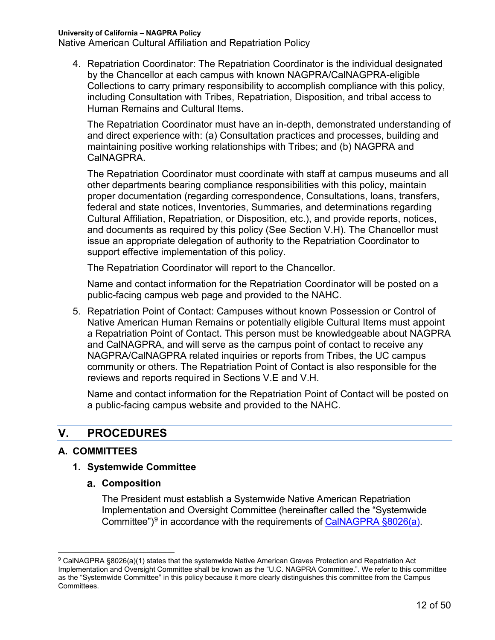Native American Cultural Affiliation and Repatriation Policy

4. Repatriation Coordinator: The Repatriation Coordinator is the individual designated by the Chancellor at each campus with known NAGPRA/CalNAGPRA-eligible Collections to carry primary responsibility to accomplish compliance with this policy, including Consultation with Tribes, Repatriation, Disposition, and tribal access to Human Remains and Cultural Items.

The Repatriation Coordinator must have an in-depth, demonstrated understanding of and direct experience with: (a) Consultation practices and processes, building and maintaining positive working relationships with Tribes; and (b) NAGPRA and CalNAGPRA.

The Repatriation Coordinator must coordinate with staff at campus museums and all other departments bearing compliance responsibilities with this policy, maintain proper documentation (regarding correspondence, Consultations, loans, transfers, federal and state notices, Inventories, Summaries, and determinations regarding Cultural Affiliation, Repatriation, or Disposition, etc.), and provide reports, notices, and documents as required by this policy (See Section V.H). The Chancellor must issue an appropriate delegation of authority to the Repatriation Coordinator to support effective implementation of this policy.

The Repatriation Coordinator will report to the Chancellor.

Name and contact information for the Repatriation Coordinator will be posted on a public-facing campus web page and provided to the NAHC.

5. Repatriation Point of Contact: Campuses without known Possession or Control of Native American Human Remains or potentially eligible Cultural Items must appoint a Repatriation Point of Contact. This person must be knowledgeable about NAGPRA and CalNAGPRA, and will serve as the campus point of contact to receive any NAGPRA/CalNAGPRA related inquiries or reports from Tribes, the UC campus community or others. The Repatriation Point of Contact is also responsible for the reviews and reports required in Sections V.E and V.H.

Name and contact information for the Repatriation Point of Contact will be posted on a public-facing campus website and provided to the NAHC.

# **V. PROCEDURES**

#### **A. COMMITTEES**

#### **1. Systemwide Committee**

**Composition**

The President must establish a Systemwide Native American Repatriation Implementation and Oversight Committee (hereinafter called the "Systemwide Committee")<sup>9</sup> in accordance with the requirements of CalNAGPRA  $\S 8026(a)$ .

 <sup>9</sup> CalNAGPRA §8026(a)(1) states that the systemwide Native American Graves Protection and Repatriation Act Implementation and Oversight Committee shall be known as the "U.C. NAGPRA Committee.". We refer to this committee as the "Systemwide Committee" in this policy because it more clearly distinguishes this committee from the Campus Committees.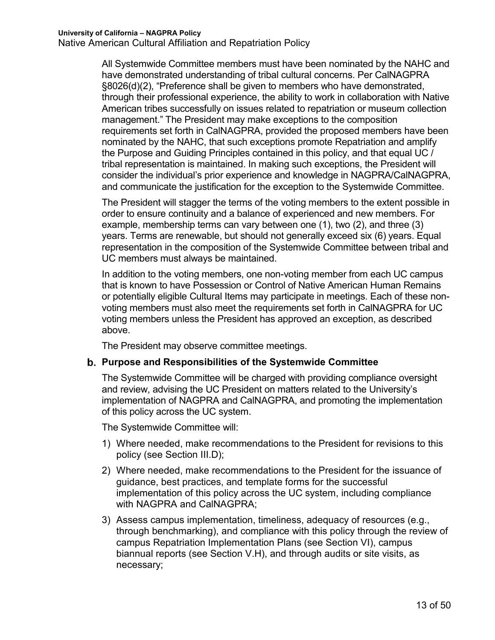All Systemwide Committee members must have been nominated by the NAHC and have demonstrated understanding of tribal cultural concerns. Per CalNAGPRA §8026(d)(2), "Preference shall be given to members who have demonstrated, through their professional experience, the ability to work in collaboration with Native American tribes successfully on issues related to repatriation or museum collection management." The President may make exceptions to the composition requirements set forth in CalNAGPRA, provided the proposed members have been nominated by the NAHC, that such exceptions promote Repatriation and amplify the Purpose and Guiding Principles contained in this policy, and that equal UC / tribal representation is maintained. In making such exceptions, the President will consider the individual's prior experience and knowledge in NAGPRA/CalNAGPRA, and communicate the justification for the exception to the Systemwide Committee.

The President will stagger the terms of the voting members to the extent possible in order to ensure continuity and a balance of experienced and new members. For example, membership terms can vary between one (1), two (2), and three (3) years. Terms are renewable, but should not generally exceed six (6) years. Equal representation in the composition of the Systemwide Committee between tribal and UC members must always be maintained.

In addition to the voting members, one non-voting member from each UC campus that is known to have Possession or Control of Native American Human Remains or potentially eligible Cultural Items may participate in meetings. Each of these nonvoting members must also meet the requirements set forth in CalNAGPRA for UC voting members unless the President has approved an exception, as described above.

The President may observe committee meetings.

#### **Purpose and Responsibilities of the Systemwide Committee**

The Systemwide Committee will be charged with providing compliance oversight and review, advising the UC President on matters related to the University's implementation of NAGPRA and CalNAGPRA, and promoting the implementation of this policy across the UC system.

The Systemwide Committee will:

- 1) Where needed, make recommendations to the President for revisions to this policy (see Section III.D);
- 2) Where needed, make recommendations to the President for the issuance of guidance, best practices, and template forms for the successful implementation of this policy across the UC system, including compliance with NAGPRA and CalNAGPRA;
- 3) Assess campus implementation, timeliness, adequacy of resources (e.g., through benchmarking), and compliance with this policy through the review of campus Repatriation Implementation Plans (see Section VI), campus biannual reports (see Section V.H), and through audits or site visits, as necessary;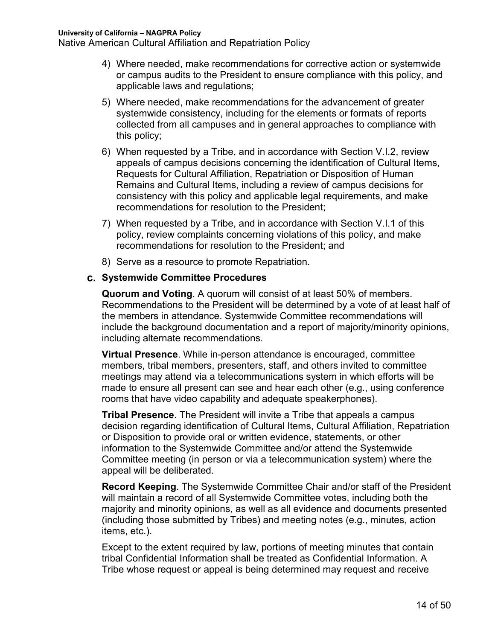- 4) Where needed, make recommendations for corrective action or systemwide or campus audits to the President to ensure compliance with this policy, and applicable laws and regulations;
- 5) Where needed, make recommendations for the advancement of greater systemwide consistency, including for the elements or formats of reports collected from all campuses and in general approaches to compliance with this policy;
- 6) When requested by a Tribe, and in accordance with Section V.I.2, review appeals of campus decisions concerning the identification of Cultural Items, Requests for Cultural Affiliation, Repatriation or Disposition of Human Remains and Cultural Items, including a review of campus decisions for consistency with this policy and applicable legal requirements, and make recommendations for resolution to the President;
- 7) When requested by a Tribe, and in accordance with Section V.I.1 of this policy, review complaints concerning violations of this policy, and make recommendations for resolution to the President; and
- 8) Serve as a resource to promote Repatriation.

#### **Systemwide Committee Procedures**

**Quorum and Voting**. A quorum will consist of at least 50% of members. Recommendations to the President will be determined by a vote of at least half of the members in attendance. Systemwide Committee recommendations will include the background documentation and a report of majority/minority opinions, including alternate recommendations.

**Virtual Presence**. While in-person attendance is encouraged, committee members, tribal members, presenters, staff, and others invited to committee meetings may attend via a telecommunications system in which efforts will be made to ensure all present can see and hear each other (e.g., using conference rooms that have video capability and adequate speakerphones).

**Tribal Presence**. The President will invite a Tribe that appeals a campus decision regarding identification of Cultural Items, Cultural Affiliation, Repatriation or Disposition to provide oral or written evidence, statements, or other information to the Systemwide Committee and/or attend the Systemwide Committee meeting (in person or via a telecommunication system) where the appeal will be deliberated.

**Record Keeping**. The Systemwide Committee Chair and/or staff of the President will maintain a record of all Systemwide Committee votes, including both the majority and minority opinions, as well as all evidence and documents presented (including those submitted by Tribes) and meeting notes (e.g., minutes, action items, etc.).

Except to the extent required by law, portions of meeting minutes that contain tribal Confidential Information shall be treated as Confidential Information. A Tribe whose request or appeal is being determined may request and receive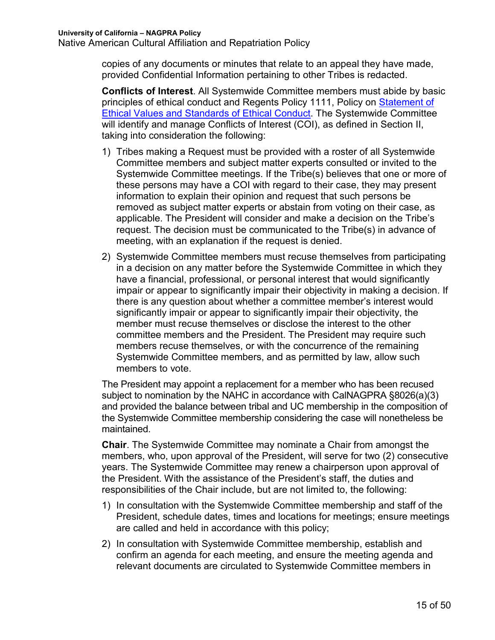copies of any documents or minutes that relate to an appeal they have made, provided Confidential Information pertaining to other Tribes is redacted.

**Conflicts of Interest**. All Systemwide Committee members must abide by basic principles of ethical conduct and Regents Policy 1111, Policy on Statement of Ethical Values and Standards of Ethical Conduct. The Systemwide Committee will identify and manage Conflicts of Interest (COI), as defined in Section II, taking into consideration the following:

- 1) Tribes making a Request must be provided with a roster of all Systemwide Committee members and subject matter experts consulted or invited to the Systemwide Committee meetings. If the Tribe(s) believes that one or more of these persons may have a COI with regard to their case, they may present information to explain their opinion and request that such persons be removed as subject matter experts or abstain from voting on their case, as applicable. The President will consider and make a decision on the Tribe's request. The decision must be communicated to the Tribe(s) in advance of meeting, with an explanation if the request is denied.
- 2) Systemwide Committee members must recuse themselves from participating in a decision on any matter before the Systemwide Committee in which they have a financial, professional, or personal interest that would significantly impair or appear to significantly impair their objectivity in making a decision. If there is any question about whether a committee member's interest would significantly impair or appear to significantly impair their objectivity, the member must recuse themselves or disclose the interest to the other committee members and the President. The President may require such members recuse themselves, or with the concurrence of the remaining Systemwide Committee members, and as permitted by law, allow such members to vote.

The President may appoint a replacement for a member who has been recused subject to nomination by the NAHC in accordance with CalNAGPRA §8026(a)(3) and provided the balance between tribal and UC membership in the composition of the Systemwide Committee membership considering the case will nonetheless be maintained.

**Chair**. The Systemwide Committee may nominate a Chair from amongst the members, who, upon approval of the President, will serve for two (2) consecutive years. The Systemwide Committee may renew a chairperson upon approval of the President. With the assistance of the President's staff, the duties and responsibilities of the Chair include, but are not limited to, the following:

- 1) In consultation with the Systemwide Committee membership and staff of the President, schedule dates, times and locations for meetings; ensure meetings are called and held in accordance with this policy;
- 2) In consultation with Systemwide Committee membership, establish and confirm an agenda for each meeting, and ensure the meeting agenda and relevant documents are circulated to Systemwide Committee members in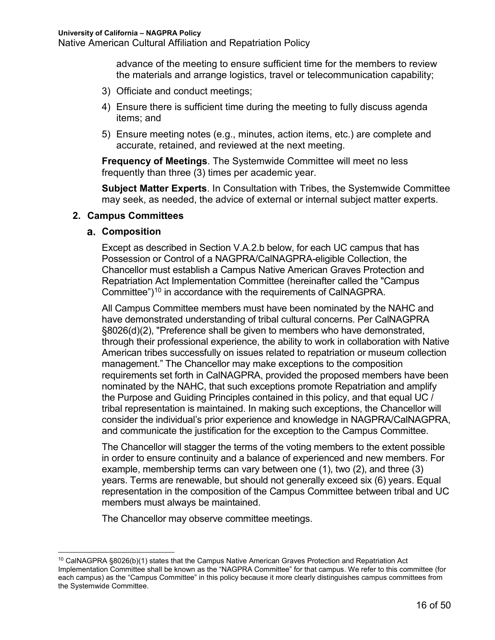advance of the meeting to ensure sufficient time for the members to review the materials and arrange logistics, travel or telecommunication capability;

- 3) Officiate and conduct meetings;
- 4) Ensure there is sufficient time during the meeting to fully discuss agenda items; and
- 5) Ensure meeting notes (e.g., minutes, action items, etc.) are complete and accurate, retained, and reviewed at the next meeting.

**Frequency of Meetings**. The Systemwide Committee will meet no less frequently than three (3) times per academic year.

**Subject Matter Experts**. In Consultation with Tribes, the Systemwide Committee may seek, as needed, the advice of external or internal subject matter experts.

#### **2. Campus Committees**

#### **Composition**

Except as described in Section V.A.2.b below, for each UC campus that has Possession or Control of a NAGPRA/CalNAGPRA-eligible Collection, the Chancellor must establish a Campus Native American Graves Protection and Repatriation Act Implementation Committee (hereinafter called the "Campus Committee")10 in accordance with the requirements of CalNAGPRA.

All Campus Committee members must have been nominated by the NAHC and have demonstrated understanding of tribal cultural concerns. Per CalNAGPRA §8026(d)(2), "Preference shall be given to members who have demonstrated, through their professional experience, the ability to work in collaboration with Native American tribes successfully on issues related to repatriation or museum collection management." The Chancellor may make exceptions to the composition requirements set forth in CalNAGPRA, provided the proposed members have been nominated by the NAHC, that such exceptions promote Repatriation and amplify the Purpose and Guiding Principles contained in this policy, and that equal UC / tribal representation is maintained. In making such exceptions, the Chancellor will consider the individual's prior experience and knowledge in NAGPRA/CalNAGPRA, and communicate the justification for the exception to the Campus Committee.

The Chancellor will stagger the terms of the voting members to the extent possible in order to ensure continuity and a balance of experienced and new members. For example, membership terms can vary between one (1), two (2), and three (3) years. Terms are renewable, but should not generally exceed six (6) years. Equal representation in the composition of the Campus Committee between tribal and UC members must always be maintained.

The Chancellor may observe committee meetings.

 $10$  CalNAGPRA §8026(b)(1) states that the Campus Native American Graves Protection and Repatriation Act Implementation Committee shall be known as the "NAGPRA Committee" for that campus. We refer to this committee (for each campus) as the "Campus Committee" in this policy because it more clearly distinguishes campus committees from the Systemwide Committee.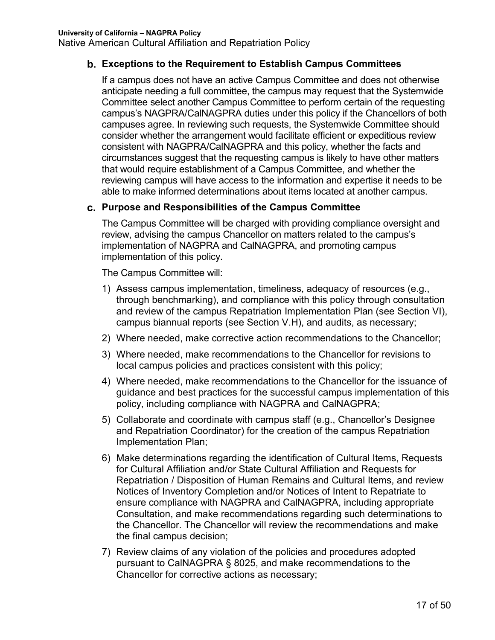#### **Exceptions to the Requirement to Establish Campus Committees**

If a campus does not have an active Campus Committee and does not otherwise anticipate needing a full committee, the campus may request that the Systemwide Committee select another Campus Committee to perform certain of the requesting campus's NAGPRA/CalNAGPRA duties under this policy if the Chancellors of both campuses agree. In reviewing such requests, the Systemwide Committee should consider whether the arrangement would facilitate efficient or expeditious review consistent with NAGPRA/CalNAGPRA and this policy, whether the facts and circumstances suggest that the requesting campus is likely to have other matters that would require establishment of a Campus Committee, and whether the reviewing campus will have access to the information and expertise it needs to be able to make informed determinations about items located at another campus.

#### **Purpose and Responsibilities of the Campus Committee**

The Campus Committee will be charged with providing compliance oversight and review, advising the campus Chancellor on matters related to the campus's implementation of NAGPRA and CalNAGPRA, and promoting campus implementation of this policy.

The Campus Committee will:

- 1) Assess campus implementation, timeliness, adequacy of resources (e.g., through benchmarking), and compliance with this policy through consultation and review of the campus Repatriation Implementation Plan (see Section VI), campus biannual reports (see Section V.H), and audits, as necessary;
- 2) Where needed, make corrective action recommendations to the Chancellor;
- 3) Where needed, make recommendations to the Chancellor for revisions to local campus policies and practices consistent with this policy;
- 4) Where needed, make recommendations to the Chancellor for the issuance of guidance and best practices for the successful campus implementation of this policy, including compliance with NAGPRA and CalNAGPRA;
- 5) Collaborate and coordinate with campus staff (e.g., Chancellor's Designee and Repatriation Coordinator) for the creation of the campus Repatriation Implementation Plan;
- 6) Make determinations regarding the identification of Cultural Items, Requests for Cultural Affiliation and/or State Cultural Affiliation and Requests for Repatriation / Disposition of Human Remains and Cultural Items, and review Notices of Inventory Completion and/or Notices of Intent to Repatriate to ensure compliance with NAGPRA and CalNAGPRA, including appropriate Consultation, and make recommendations regarding such determinations to the Chancellor. The Chancellor will review the recommendations and make the final campus decision;
- 7) Review claims of any violation of the policies and procedures adopted pursuant to CalNAGPRA § 8025, and make recommendations to the Chancellor for corrective actions as necessary;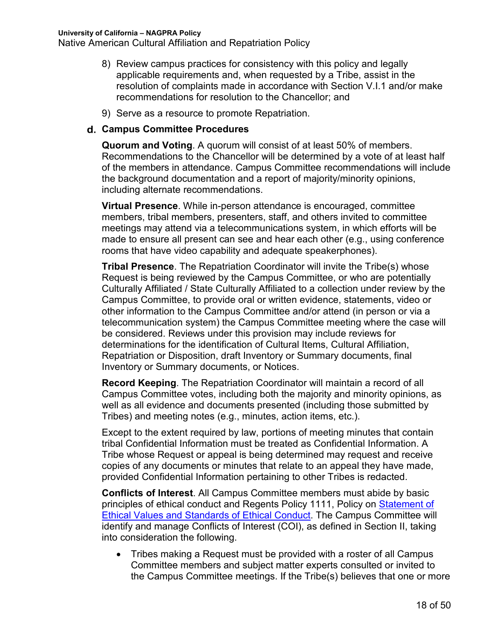- 8) Review campus practices for consistency with this policy and legally applicable requirements and, when requested by a Tribe, assist in the resolution of complaints made in accordance with Section V.I.1 and/or make recommendations for resolution to the Chancellor; and
- 9) Serve as a resource to promote Repatriation.

#### **Campus Committee Procedures**

**Quorum and Voting**. A quorum will consist of at least 50% of members. Recommendations to the Chancellor will be determined by a vote of at least half of the members in attendance. Campus Committee recommendations will include the background documentation and a report of majority/minority opinions, including alternate recommendations.

**Virtual Presence**. While in-person attendance is encouraged, committee members, tribal members, presenters, staff, and others invited to committee meetings may attend via a telecommunications system, in which efforts will be made to ensure all present can see and hear each other (e.g., using conference rooms that have video capability and adequate speakerphones).

**Tribal Presence**. The Repatriation Coordinator will invite the Tribe(s) whose Request is being reviewed by the Campus Committee, or who are potentially Culturally Affiliated / State Culturally Affiliated to a collection under review by the Campus Committee, to provide oral or written evidence, statements, video or other information to the Campus Committee and/or attend (in person or via a telecommunication system) the Campus Committee meeting where the case will be considered. Reviews under this provision may include reviews for determinations for the identification of Cultural Items, Cultural Affiliation, Repatriation or Disposition, draft Inventory or Summary documents, final Inventory or Summary documents, or Notices.

**Record Keeping**. The Repatriation Coordinator will maintain a record of all Campus Committee votes, including both the majority and minority opinions, as well as all evidence and documents presented (including those submitted by Tribes) and meeting notes (e.g., minutes, action items, etc.).

Except to the extent required by law, portions of meeting minutes that contain tribal Confidential Information must be treated as Confidential Information. A Tribe whose Request or appeal is being determined may request and receive copies of any documents or minutes that relate to an appeal they have made, provided Confidential Information pertaining to other Tribes is redacted.

**Conflicts of Interest**. All Campus Committee members must abide by basic principles of ethical conduct and Regents Policy 1111, Policy on Statement of Ethical Values and Standards of Ethical Conduct. The Campus Committee will identify and manage Conflicts of Interest (COI), as defined in Section II, taking into consideration the following.

• Tribes making a Request must be provided with a roster of all Campus Committee members and subject matter experts consulted or invited to the Campus Committee meetings. If the Tribe(s) believes that one or more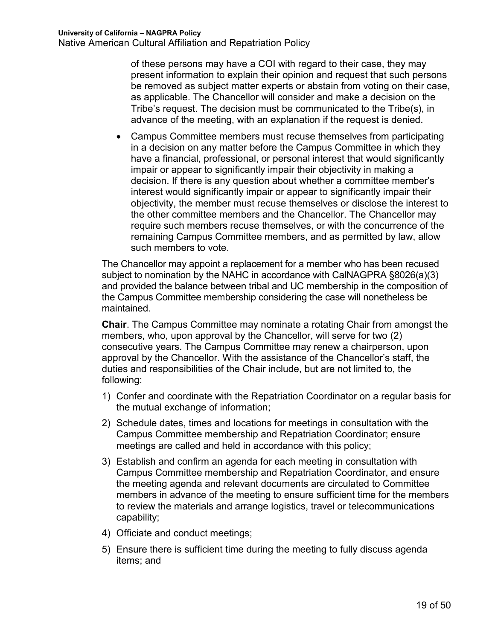of these persons may have a COI with regard to their case, they may present information to explain their opinion and request that such persons be removed as subject matter experts or abstain from voting on their case, as applicable. The Chancellor will consider and make a decision on the Tribe's request. The decision must be communicated to the Tribe(s), in advance of the meeting, with an explanation if the request is denied.

• Campus Committee members must recuse themselves from participating in a decision on any matter before the Campus Committee in which they have a financial, professional, or personal interest that would significantly impair or appear to significantly impair their objectivity in making a decision. If there is any question about whether a committee member's interest would significantly impair or appear to significantly impair their objectivity, the member must recuse themselves or disclose the interest to the other committee members and the Chancellor. The Chancellor may require such members recuse themselves, or with the concurrence of the remaining Campus Committee members, and as permitted by law, allow such members to vote.

The Chancellor may appoint a replacement for a member who has been recused subject to nomination by the NAHC in accordance with CalNAGPRA §8026(a)(3) and provided the balance between tribal and UC membership in the composition of the Campus Committee membership considering the case will nonetheless be maintained.

**Chair**. The Campus Committee may nominate a rotating Chair from amongst the members, who, upon approval by the Chancellor, will serve for two (2) consecutive years. The Campus Committee may renew a chairperson, upon approval by the Chancellor. With the assistance of the Chancellor's staff, the duties and responsibilities of the Chair include, but are not limited to, the following:

- 1) Confer and coordinate with the Repatriation Coordinator on a regular basis for the mutual exchange of information;
- 2) Schedule dates, times and locations for meetings in consultation with the Campus Committee membership and Repatriation Coordinator; ensure meetings are called and held in accordance with this policy;
- 3) Establish and confirm an agenda for each meeting in consultation with Campus Committee membership and Repatriation Coordinator, and ensure the meeting agenda and relevant documents are circulated to Committee members in advance of the meeting to ensure sufficient time for the members to review the materials and arrange logistics, travel or telecommunications capability;
- 4) Officiate and conduct meetings;
- 5) Ensure there is sufficient time during the meeting to fully discuss agenda items; and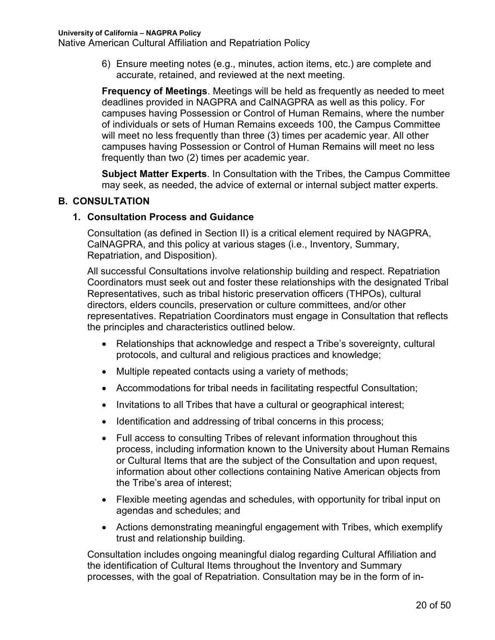6) Ensure meeting notes (e.g., minutes, action items, etc.) are complete and accurate, retained, and reviewed at the next meeting.

**Frequency of Meetings**. Meetings will be held as frequently as needed to meet deadlines provided in NAGPRA and CalNAGPRA as well as this policy. For campuses having Possession or Control of Human Remains, where the number of individuals or sets of Human Remains exceeds 100, the Campus Committee will meet no less frequently than three (3) times per academic year. All other campuses having Possession or Control of Human Remains will meet no less frequently than two (2) times per academic year.

**Subject Matter Experts**. In Consultation with the Tribes, the Campus Committee may seek, as needed, the advice of external or internal subject matter experts.

#### **B. CONSULTATION**

#### **1. Consultation Process and Guidance**

Consultation (as defined in Section II) is a critical element required by NAGPRA, CalNAGPRA, and this policy at various stages (i.e., Inventory, Summary, Repatriation, and Disposition).

All successful Consultations involve relationship building and respect. Repatriation Coordinators must seek out and foster these relationships with the designated Tribal Representatives, such as tribal historic preservation officers (THPOs), cultural directors, elders councils, preservation or culture committees, and/or other representatives. Repatriation Coordinators must engage in Consultation that reflects the principles and characteristics outlined below.

- Relationships that acknowledge and respect a Tribe's sovereignty, cultural protocols, and cultural and religious practices and knowledge;
- Multiple repeated contacts using a variety of methods;
- Accommodations for tribal needs in facilitating respectful Consultation;
- Invitations to all Tribes that have a cultural or geographical interest;
- Identification and addressing of tribal concerns in this process;
- Full access to consulting Tribes of relevant information throughout this process, including information known to the University about Human Remains or Cultural Items that are the subject of the Consultation and upon request, information about other collections containing Native American objects from the Tribe's area of interest;
- Flexible meeting agendas and schedules, with opportunity for tribal input on agendas and schedules; and
- Actions demonstrating meaningful engagement with Tribes, which exemplify trust and relationship building.

Consultation includes ongoing meaningful dialog regarding Cultural Affiliation and the identification of Cultural Items throughout the Inventory and Summary processes, with the goal of Repatriation. Consultation may be in the form of in-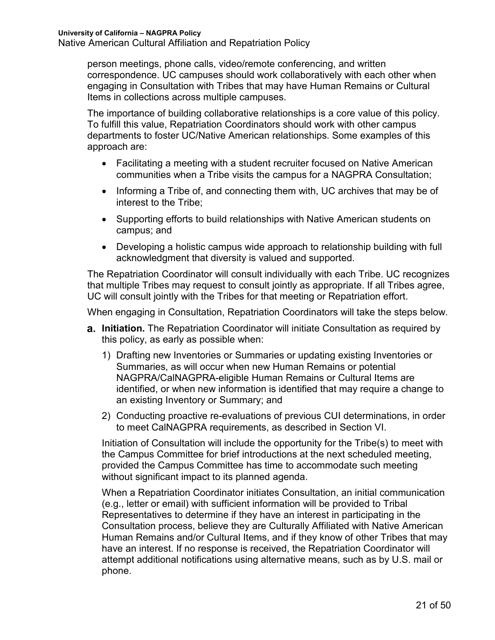person meetings, phone calls, video/remote conferencing, and written correspondence. UC campuses should work collaboratively with each other when engaging in Consultation with Tribes that may have Human Remains or Cultural Items in collections across multiple campuses.

The importance of building collaborative relationships is a core value of this policy. To fulfill this value, Repatriation Coordinators should work with other campus departments to foster UC/Native American relationships. Some examples of this approach are:

- Facilitating a meeting with a student recruiter focused on Native American communities when a Tribe visits the campus for a NAGPRA Consultation;
- Informing a Tribe of, and connecting them with, UC archives that may be of interest to the Tribe;
- Supporting efforts to build relationships with Native American students on campus; and
- Developing a holistic campus wide approach to relationship building with full acknowledgment that diversity is valued and supported.

The Repatriation Coordinator will consult individually with each Tribe. UC recognizes that multiple Tribes may request to consult jointly as appropriate. If all Tribes agree, UC will consult jointly with the Tribes for that meeting or Repatriation effort.

When engaging in Consultation, Repatriation Coordinators will take the steps below.

- **Initiation.** The Repatriation Coordinator will initiate Consultation as required by this policy, as early as possible when:
	- 1) Drafting new Inventories or Summaries or updating existing Inventories or Summaries, as will occur when new Human Remains or potential NAGPRA/CalNAGPRA-eligible Human Remains or Cultural Items are identified, or when new information is identified that may require a change to an existing Inventory or Summary; and
	- 2) Conducting proactive re-evaluations of previous CUI determinations, in order to meet CalNAGPRA requirements, as described in Section VI.

Initiation of Consultation will include the opportunity for the Tribe(s) to meet with the Campus Committee for brief introductions at the next scheduled meeting, provided the Campus Committee has time to accommodate such meeting without significant impact to its planned agenda.

When a Repatriation Coordinator initiates Consultation, an initial communication (e.g., letter or email) with sufficient information will be provided to Tribal Representatives to determine if they have an interest in participating in the Consultation process, believe they are Culturally Affiliated with Native American Human Remains and/or Cultural Items, and if they know of other Tribes that may have an interest. If no response is received, the Repatriation Coordinator will attempt additional notifications using alternative means, such as by U.S. mail or phone.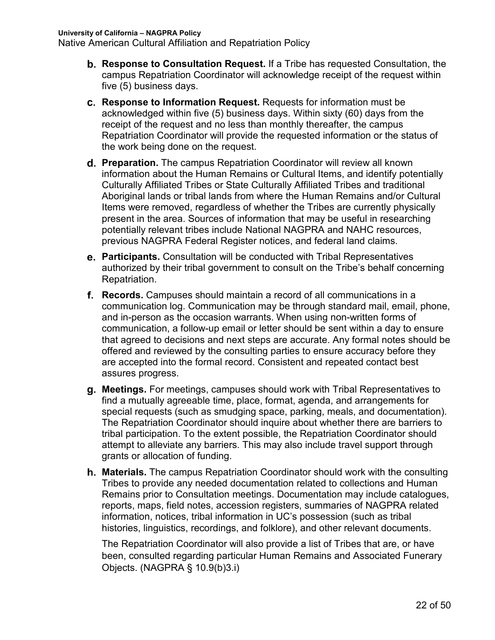- **Response to Consultation Request.** If a Tribe has requested Consultation, the campus Repatriation Coordinator will acknowledge receipt of the request within five (5) business days.
- **Response to Information Request.** Requests for information must be acknowledged within five (5) business days. Within sixty (60) days from the receipt of the request and no less than monthly thereafter, the campus Repatriation Coordinator will provide the requested information or the status of the work being done on the request.
- **Preparation.** The campus Repatriation Coordinator will review all known information about the Human Remains or Cultural Items, and identify potentially Culturally Affiliated Tribes or State Culturally Affiliated Tribes and traditional Aboriginal lands or tribal lands from where the Human Remains and/or Cultural Items were removed, regardless of whether the Tribes are currently physically present in the area. Sources of information that may be useful in researching potentially relevant tribes include National NAGPRA and NAHC resources, previous NAGPRA Federal Register notices, and federal land claims.
- **Participants.** Consultation will be conducted with Tribal Representatives authorized by their tribal government to consult on the Tribe's behalf concerning Repatriation.
- **Records.** Campuses should maintain a record of all communications in a communication log. Communication may be through standard mail, email, phone, and in-person as the occasion warrants. When using non-written forms of communication, a follow-up email or letter should be sent within a day to ensure that agreed to decisions and next steps are accurate. Any formal notes should be offered and reviewed by the consulting parties to ensure accuracy before they are accepted into the formal record. Consistent and repeated contact best assures progress.
- **Meetings.** For meetings, campuses should work with Tribal Representatives to find a mutually agreeable time, place, format, agenda, and arrangements for special requests (such as smudging space, parking, meals, and documentation). The Repatriation Coordinator should inquire about whether there are barriers to tribal participation. To the extent possible, the Repatriation Coordinator should attempt to alleviate any barriers. This may also include travel support through grants or allocation of funding.
- **Materials.** The campus Repatriation Coordinator should work with the consulting Tribes to provide any needed documentation related to collections and Human Remains prior to Consultation meetings. Documentation may include catalogues, reports, maps, field notes, accession registers, summaries of NAGPRA related information, notices, tribal information in UC's possession (such as tribal histories, linguistics, recordings, and folklore), and other relevant documents.

The Repatriation Coordinator will also provide a list of Tribes that are, or have been, consulted regarding particular Human Remains and Associated Funerary Objects. (NAGPRA § 10.9(b)3.i)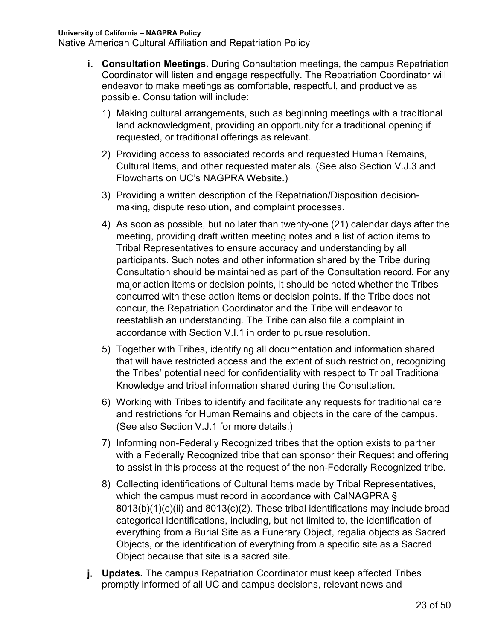Native American Cultural Affiliation and Repatriation Policy

- **Consultation Meetings.** During Consultation meetings, the campus Repatriation Coordinator will listen and engage respectfully. The Repatriation Coordinator will endeavor to make meetings as comfortable, respectful, and productive as possible. Consultation will include:
	- 1) Making cultural arrangements, such as beginning meetings with a traditional land acknowledgment, providing an opportunity for a traditional opening if requested, or traditional offerings as relevant.
	- 2) Providing access to associated records and requested Human Remains, Cultural Items, and other requested materials. (See also Section V.J.3 and Flowcharts on UC's NAGPRA Website.)
	- 3) Providing a written description of the Repatriation/Disposition decisionmaking, dispute resolution, and complaint processes.
	- 4) As soon as possible, but no later than twenty-one (21) calendar days after the meeting, providing draft written meeting notes and a list of action items to Tribal Representatives to ensure accuracy and understanding by all participants. Such notes and other information shared by the Tribe during Consultation should be maintained as part of the Consultation record. For any major action items or decision points, it should be noted whether the Tribes concurred with these action items or decision points. If the Tribe does not concur, the Repatriation Coordinator and the Tribe will endeavor to reestablish an understanding. The Tribe can also file a complaint in accordance with Section V.I.1 in order to pursue resolution.
	- 5) Together with Tribes, identifying all documentation and information shared that will have restricted access and the extent of such restriction, recognizing the Tribes' potential need for confidentiality with respect to Tribal Traditional Knowledge and tribal information shared during the Consultation.
	- 6) Working with Tribes to identify and facilitate any requests for traditional care and restrictions for Human Remains and objects in the care of the campus. (See also Section V.J.1 for more details.)
	- 7) Informing non-Federally Recognized tribes that the option exists to partner with a Federally Recognized tribe that can sponsor their Request and offering to assist in this process at the request of the non-Federally Recognized tribe.
	- 8) Collecting identifications of Cultural Items made by Tribal Representatives, which the campus must record in accordance with CalNAGPRA § 8013(b)(1)(c)(ii) and 8013(c)(2). These tribal identifications may include broad categorical identifications, including, but not limited to, the identification of everything from a Burial Site as a Funerary Object, regalia objects as Sacred Objects, or the identification of everything from a specific site as a Sacred Object because that site is a sacred site.
- **Updates.** The campus Repatriation Coordinator must keep affected Tribes promptly informed of all UC and campus decisions, relevant news and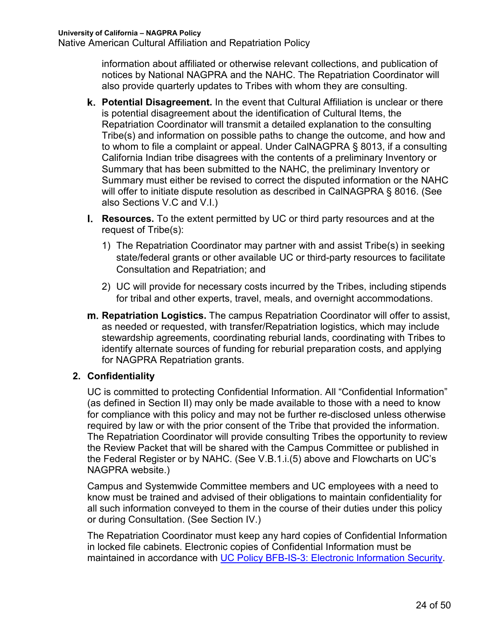information about affiliated or otherwise relevant collections, and publication of notices by National NAGPRA and the NAHC. The Repatriation Coordinator will also provide quarterly updates to Tribes with whom they are consulting.

- **Potential Disagreement.** In the event that Cultural Affiliation is unclear or there is potential disagreement about the identification of Cultural Items, the Repatriation Coordinator will transmit a detailed explanation to the consulting Tribe(s) and information on possible paths to change the outcome, and how and to whom to file a complaint or appeal. Under CalNAGPRA § 8013, if a consulting California Indian tribe disagrees with the contents of a preliminary Inventory or Summary that has been submitted to the NAHC, the preliminary Inventory or Summary must either be revised to correct the disputed information or the NAHC will offer to initiate dispute resolution as described in CalNAGPRA § 8016. (See also Sections V.C and V.I.)
- **Resources.** To the extent permitted by UC or third party resources and at the request of Tribe(s):
	- 1) The Repatriation Coordinator may partner with and assist Tribe(s) in seeking state/federal grants or other available UC or third-party resources to facilitate Consultation and Repatriation; and
	- 2) UC will provide for necessary costs incurred by the Tribes, including stipends for tribal and other experts, travel, meals, and overnight accommodations.
- **Repatriation Logistics.** The campus Repatriation Coordinator will offer to assist, as needed or requested, with transfer/Repatriation logistics, which may include stewardship agreements, coordinating reburial lands, coordinating with Tribes to identify alternate sources of funding for reburial preparation costs, and applying for NAGPRA Repatriation grants.

### **2. Confidentiality**

UC is committed to protecting Confidential Information. All "Confidential Information" (as defined in Section II) may only be made available to those with a need to know for compliance with this policy and may not be further re-disclosed unless otherwise required by law or with the prior consent of the Tribe that provided the information. The Repatriation Coordinator will provide consulting Tribes the opportunity to review the Review Packet that will be shared with the Campus Committee or published in the Federal Register or by NAHC. (See V.B.1.i.(5) above and Flowcharts on UC's NAGPRA website.)

Campus and Systemwide Committee members and UC employees with a need to know must be trained and advised of their obligations to maintain confidentiality for all such information conveyed to them in the course of their duties under this policy or during Consultation. (See Section IV.)

The Repatriation Coordinator must keep any hard copies of Confidential Information in locked file cabinets. Electronic copies of Confidential Information must be maintained in accordance with UC Policy BFB-IS-3: Electronic Information Security.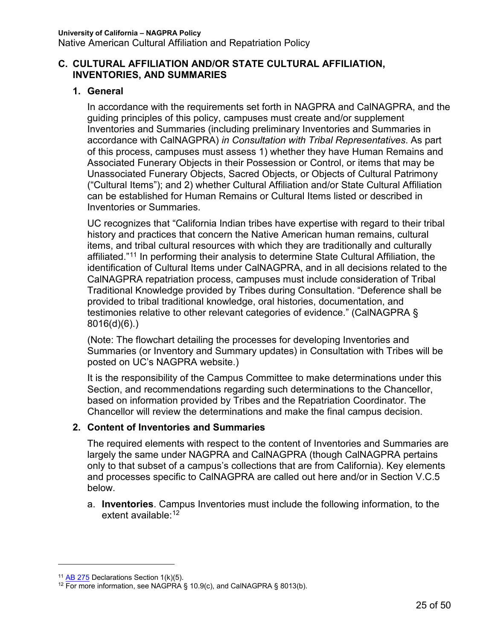#### **C. CULTURAL AFFILIATION AND/OR STATE CULTURAL AFFILIATION, INVENTORIES, AND SUMMARIES**

### **1. General**

In accordance with the requirements set forth in NAGPRA and CalNAGPRA, and the guiding principles of this policy, campuses must create and/or supplement Inventories and Summaries (including preliminary Inventories and Summaries in accordance with CalNAGPRA) *in Consultation with Tribal Representatives*. As part of this process, campuses must assess 1) whether they have Human Remains and Associated Funerary Objects in their Possession or Control, or items that may be Unassociated Funerary Objects, Sacred Objects, or Objects of Cultural Patrimony ("Cultural Items"); and 2) whether Cultural Affiliation and/or State Cultural Affiliation can be established for Human Remains or Cultural Items listed or described in Inventories or Summaries.

UC recognizes that "California Indian tribes have expertise with regard to their tribal history and practices that concern the Native American human remains, cultural items, and tribal cultural resources with which they are traditionally and culturally affiliated."11 In performing their analysis to determine State Cultural Affiliation, the identification of Cultural Items under CalNAGPRA, and in all decisions related to the CalNAGPRA repatriation process, campuses must include consideration of Tribal Traditional Knowledge provided by Tribes during Consultation. "Deference shall be provided to tribal traditional knowledge, oral histories, documentation, and testimonies relative to other relevant categories of evidence." (CalNAGPRA § 8016(d)(6).)

(Note: The flowchart detailing the processes for developing Inventories and Summaries (or Inventory and Summary updates) in Consultation with Tribes will be posted on UC's NAGPRA website.)

It is the responsibility of the Campus Committee to make determinations under this Section, and recommendations regarding such determinations to the Chancellor, based on information provided by Tribes and the Repatriation Coordinator. The Chancellor will review the determinations and make the final campus decision.

### **2. Content of Inventories and Summaries**

The required elements with respect to the content of Inventories and Summaries are largely the same under NAGPRA and CalNAGPRA (though CalNAGPRA pertains only to that subset of a campus's collections that are from California). Key elements and processes specific to CalNAGPRA are called out here and/or in Section V.C.5 below.

a. **Inventories**. Campus Inventories must include the following information, to the extent available: 12

 $\overline{a}$ 

<sup>&</sup>lt;sup>11</sup> AB 275 Declarations Section 1(k)(5).

<sup>&</sup>lt;sup>12</sup> For more information, see NAGPRA § 10.9(c), and CaINAGPRA § 8013(b).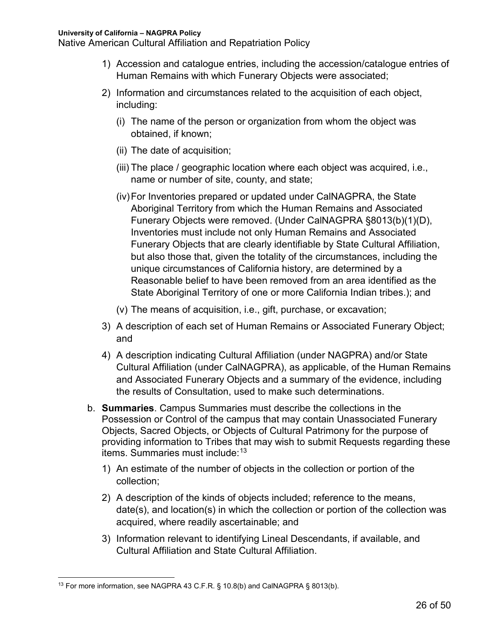- 1) Accession and catalogue entries, including the accession/catalogue entries of Human Remains with which Funerary Objects were associated;
- 2) Information and circumstances related to the acquisition of each object, including:
	- (i) The name of the person or organization from whom the object was obtained, if known;
	- (ii) The date of acquisition;
	- (iii) The place / geographic location where each object was acquired, i.e., name or number of site, county, and state;
	- (iv)For Inventories prepared or updated under CalNAGPRA, the State Aboriginal Territory from which the Human Remains and Associated Funerary Objects were removed. (Under CalNAGPRA §8013(b)(1)(D), Inventories must include not only Human Remains and Associated Funerary Objects that are clearly identifiable by State Cultural Affiliation, but also those that, given the totality of the circumstances, including the unique circumstances of California history, are determined by a Reasonable belief to have been removed from an area identified as the State Aboriginal Territory of one or more California Indian tribes.); and
	- (v) The means of acquisition, i.e., gift, purchase, or excavation;
- 3) A description of each set of Human Remains or Associated Funerary Object; and
- 4) A description indicating Cultural Affiliation (under NAGPRA) and/or State Cultural Affiliation (under CalNAGPRA), as applicable, of the Human Remains and Associated Funerary Objects and a summary of the evidence, including the results of Consultation, used to make such determinations.
- b. **Summaries**. Campus Summaries must describe the collections in the Possession or Control of the campus that may contain Unassociated Funerary Objects, Sacred Objects, or Objects of Cultural Patrimony for the purpose of providing information to Tribes that may wish to submit Requests regarding these items. Summaries must include: 13
	- 1) An estimate of the number of objects in the collection or portion of the collection;
	- 2) A description of the kinds of objects included; reference to the means, date(s), and location(s) in which the collection or portion of the collection was acquired, where readily ascertainable; and
	- 3) Information relevant to identifying Lineal Descendants, if available, and Cultural Affiliation and State Cultural Affiliation.

<sup>&</sup>lt;sup>13</sup> For more information, see NAGPRA 43 C.F.R. § 10.8(b) and CalNAGPRA § 8013(b).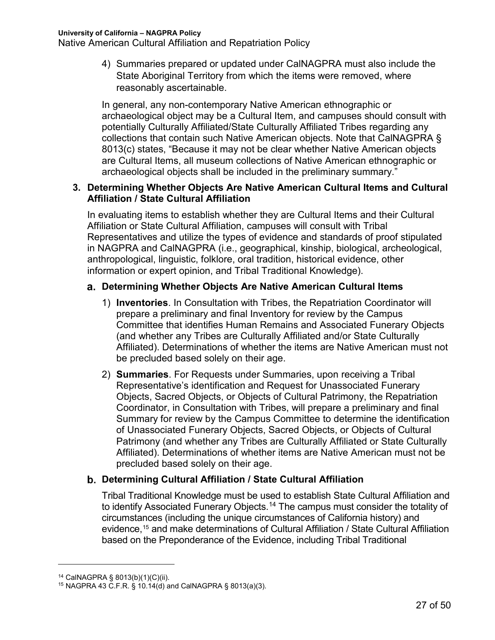4) Summaries prepared or updated under CalNAGPRA must also include the State Aboriginal Territory from which the items were removed, where reasonably ascertainable.

In general, any non-contemporary Native American ethnographic or archaeological object may be a Cultural Item, and campuses should consult with potentially Culturally Affiliated/State Culturally Affiliated Tribes regarding any collections that contain such Native American objects. Note that CalNAGPRA § 8013(c) states, "Because it may not be clear whether Native American objects are Cultural Items, all museum collections of Native American ethnographic or archaeological objects shall be included in the preliminary summary."

#### **3. Determining Whether Objects Are Native American Cultural Items and Cultural Affiliation / State Cultural Affiliation**

In evaluating items to establish whether they are Cultural Items and their Cultural Affiliation or State Cultural Affiliation, campuses will consult with Tribal Representatives and utilize the types of evidence and standards of proof stipulated in NAGPRA and CalNAGPRA (i.e., geographical, kinship, biological, archeological, anthropological, linguistic, folklore, oral tradition, historical evidence, other information or expert opinion, and Tribal Traditional Knowledge).

#### **Determining Whether Objects Are Native American Cultural Items**

- 1) **Inventories**. In Consultation with Tribes, the Repatriation Coordinator will prepare a preliminary and final Inventory for review by the Campus Committee that identifies Human Remains and Associated Funerary Objects (and whether any Tribes are Culturally Affiliated and/or State Culturally Affiliated). Determinations of whether the items are Native American must not be precluded based solely on their age.
- 2) **Summaries**. For Requests under Summaries, upon receiving a Tribal Representative's identification and Request for Unassociated Funerary Objects, Sacred Objects, or Objects of Cultural Patrimony, the Repatriation Coordinator, in Consultation with Tribes, will prepare a preliminary and final Summary for review by the Campus Committee to determine the identification of Unassociated Funerary Objects, Sacred Objects, or Objects of Cultural Patrimony (and whether any Tribes are Culturally Affiliated or State Culturally Affiliated). Determinations of whether items are Native American must not be precluded based solely on their age.

### **Determining Cultural Affiliation / State Cultural Affiliation**

Tribal Traditional Knowledge must be used to establish State Cultural Affiliation and to identify Associated Funerary Objects.<sup>14</sup> The campus must consider the totality of circumstances (including the unique circumstances of California history) and evidence, <sup>15</sup> and make determinations of Cultural Affiliation / State Cultural Affiliation based on the Preponderance of the Evidence, including Tribal Traditional

 $\overline{a}$ 

<sup>14</sup> CalNAGPRA § 8013(b)(1)(C)(ii).

<sup>&</sup>lt;sup>15</sup> NAGPRA 43 C.F.R.  $\frac{2}{3}$  10.14(d) and CalNAGPRA  $\frac{2}{3}$  8013(a)(3).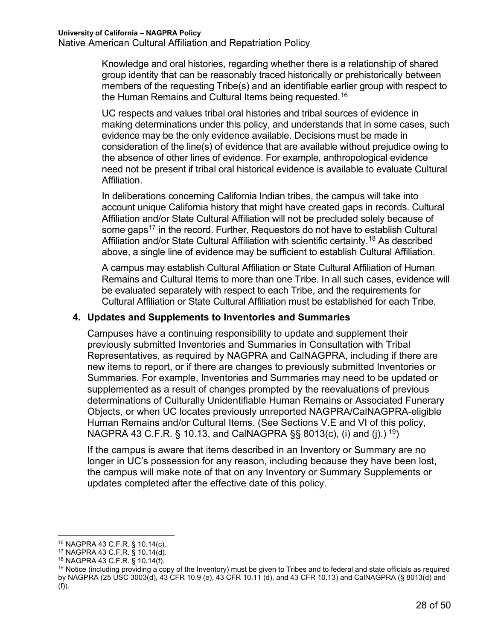Knowledge and oral histories, regarding whether there is a relationship of shared group identity that can be reasonably traced historically or prehistorically between members of the requesting Tribe(s) and an identifiable earlier group with respect to the Human Remains and Cultural Items being requested.16

UC respects and values tribal oral histories and tribal sources of evidence in making determinations under this policy, and understands that in some cases, such evidence may be the only evidence available. Decisions must be made in consideration of the line(s) of evidence that are available without prejudice owing to the absence of other lines of evidence. For example, anthropological evidence need not be present if tribal oral historical evidence is available to evaluate Cultural Affiliation.

In deliberations concerning California Indian tribes, the campus will take into account unique California history that might have created gaps in records. Cultural Affiliation and/or State Cultural Affiliation will not be precluded solely because of some gaps<sup>17</sup> in the record. Further, Requestors do not have to establish Cultural Affiliation and/or State Cultural Affiliation with scientific certainty. <sup>18</sup> As described above, a single line of evidence may be sufficient to establish Cultural Affiliation.

A campus may establish Cultural Affiliation or State Cultural Affiliation of Human Remains and Cultural Items to more than one Tribe. In all such cases, evidence will be evaluated separately with respect to each Tribe, and the requirements for Cultural Affiliation or State Cultural Affiliation must be established for each Tribe.

#### **4. Updates and Supplements to Inventories and Summaries**

Campuses have a continuing responsibility to update and supplement their previously submitted Inventories and Summaries in Consultation with Tribal Representatives, as required by NAGPRA and CalNAGPRA, including if there are new items to report, or if there are changes to previously submitted Inventories or Summaries. For example, Inventories and Summaries may need to be updated or supplemented as a result of changes prompted by the reevaluations of previous determinations of Culturally Unidentifiable Human Remains or Associated Funerary Objects, or when UC locates previously unreported NAGPRA/CalNAGPRA-eligible Human Remains and/or Cultural Items. (See Sections V.E and VI of this policy, NAGPRA 43 C.F.R. § 10.13, and CalNAGPRA §§ 8013(c), (i) and (j).)  $^{19}$ )

If the campus is aware that items described in an Inventory or Summary are no longer in UC's possession for any reason, including because they have been lost, the campus will make note of that on any Inventory or Summary Supplements or updates completed after the effective date of this policy.

 <sup>16</sup> NAGPRA 43 C.F.R. § 10.14(c).

<sup>17</sup> NAGPRA 43 C.F.R. § 10.14(d).

<sup>18</sup> NAGPRA 43 C.F.R. § 10.14(f).

 $19$  Notice (including providing a copy of the Inventory) must be given to Tribes and to federal and state officials as required by NAGPRA (25 USC 3003(d), 43 CFR 10.9 (e), 43 CFR 10.11 (d), and 43 CFR 10.13) and CalNAGPRA (§ 8013(d) and (f)).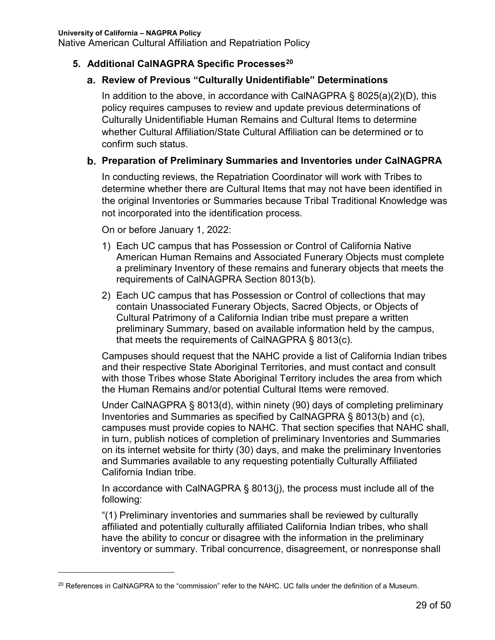#### **5. Additional CalNAGPRA Specific Processes20**

#### **Review of Previous "Culturally Unidentifiable" Determinations**

In addition to the above, in accordance with CalNAGPRA  $\S$  8025(a)(2)(D), this policy requires campuses to review and update previous determinations of Culturally Unidentifiable Human Remains and Cultural Items to determine whether Cultural Affiliation/State Cultural Affiliation can be determined or to confirm such status.

#### **Preparation of Preliminary Summaries and Inventories under CalNAGPRA**

In conducting reviews, the Repatriation Coordinator will work with Tribes to determine whether there are Cultural Items that may not have been identified in the original Inventories or Summaries because Tribal Traditional Knowledge was not incorporated into the identification process.

On or before January 1, 2022:

 $\overline{a}$ 

- 1) Each UC campus that has Possession or Control of California Native American Human Remains and Associated Funerary Objects must complete a preliminary Inventory of these remains and funerary objects that meets the requirements of CalNAGPRA Section 8013(b).
- 2) Each UC campus that has Possession or Control of collections that may contain Unassociated Funerary Objects, Sacred Objects, or Objects of Cultural Patrimony of a California Indian tribe must prepare a written preliminary Summary, based on available information held by the campus, that meets the requirements of CalNAGPRA § 8013(c).

Campuses should request that the NAHC provide a list of California Indian tribes and their respective State Aboriginal Territories, and must contact and consult with those Tribes whose State Aboriginal Territory includes the area from which the Human Remains and/or potential Cultural Items were removed.

Under CalNAGPRA § 8013(d), within ninety (90) days of completing preliminary Inventories and Summaries as specified by CalNAGPRA § 8013(b) and (c), campuses must provide copies to NAHC. That section specifies that NAHC shall, in turn, publish notices of completion of preliminary Inventories and Summaries on its internet website for thirty (30) days, and make the preliminary Inventories and Summaries available to any requesting potentially Culturally Affiliated California Indian tribe.

In accordance with CalNAGPRA § 8013(j), the process must include all of the following:

"(1) Preliminary inventories and summaries shall be reviewed by culturally affiliated and potentially culturally affiliated California Indian tribes, who shall have the ability to concur or disagree with the information in the preliminary inventory or summary. Tribal concurrence, disagreement, or nonresponse shall

<sup>&</sup>lt;sup>20</sup> References in CalNAGPRA to the "commission" refer to the NAHC. UC falls under the definition of a Museum.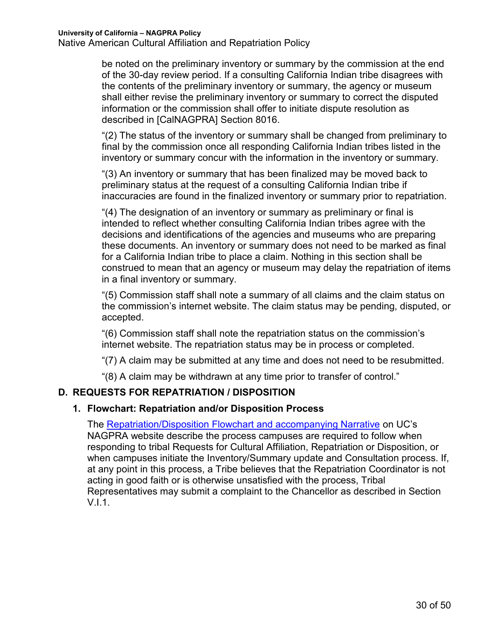be noted on the preliminary inventory or summary by the commission at the end of the 30-day review period. If a consulting California Indian tribe disagrees with the contents of the preliminary inventory or summary, the agency or museum shall either revise the preliminary inventory or summary to correct the disputed information or the commission shall offer to initiate dispute resolution as described in [CalNAGPRA] Section 8016.

"(2) The status of the inventory or summary shall be changed from preliminary to final by the commission once all responding California Indian tribes listed in the inventory or summary concur with the information in the inventory or summary.

"(3) An inventory or summary that has been finalized may be moved back to preliminary status at the request of a consulting California Indian tribe if inaccuracies are found in the finalized inventory or summary prior to repatriation.

"(4) The designation of an inventory or summary as preliminary or final is intended to reflect whether consulting California Indian tribes agree with the decisions and identifications of the agencies and museums who are preparing these documents. An inventory or summary does not need to be marked as final for a California Indian tribe to place a claim. Nothing in this section shall be construed to mean that an agency or museum may delay the repatriation of items in a final inventory or summary.

"(5) Commission staff shall note a summary of all claims and the claim status on the commission's internet website. The claim status may be pending, disputed, or accepted.

"(6) Commission staff shall note the repatriation status on the commission's internet website. The repatriation status may be in process or completed.

"(7) A claim may be submitted at any time and does not need to be resubmitted.

"(8) A claim may be withdrawn at any time prior to transfer of control."

### **D. REQUESTS FOR REPATRIATION / DISPOSITION**

#### **1. Flowchart: Repatriation and/or Disposition Process**

The Repatriation/Disposition Flowchart and accompanying Narrative on UC's NAGPRA website describe the process campuses are required to follow when responding to tribal Requests for Cultural Affiliation, Repatriation or Disposition, or when campuses initiate the Inventory/Summary update and Consultation process. If, at any point in this process, a Tribe believes that the Repatriation Coordinator is not acting in good faith or is otherwise unsatisfied with the process, Tribal Representatives may submit a complaint to the Chancellor as described in Section V.I.1.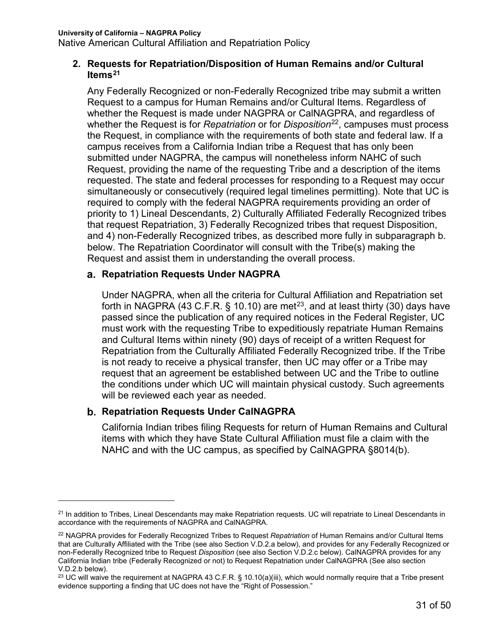#### **2. Requests for Repatriation/Disposition of Human Remains and/or Cultural Items21**

Any Federally Recognized or non-Federally Recognized tribe may submit a written Request to a campus for Human Remains and/or Cultural Items. Regardless of whether the Request is made under NAGPRA or CalNAGPRA, and regardless of whether the Request is for *Repatriation* or for *Disposition*22, campuses must process the Request, in compliance with the requirements of both state and federal law. If a campus receives from a California Indian tribe a Request that has only been submitted under NAGPRA, the campus will nonetheless inform NAHC of such Request, providing the name of the requesting Tribe and a description of the items requested. The state and federal processes for responding to a Request may occur simultaneously or consecutively (required legal timelines permitting). Note that UC is required to comply with the federal NAGPRA requirements providing an order of priority to 1) Lineal Descendants, 2) Culturally Affiliated Federally Recognized tribes that request Repatriation, 3) Federally Recognized tribes that request Disposition, and 4) non-Federally Recognized tribes, as described more fully in subparagraph b. below. The Repatriation Coordinator will consult with the Tribe(s) making the Request and assist them in understanding the overall process.

#### **Repatriation Requests Under NAGPRA**

Under NAGPRA, when all the criteria for Cultural Affiliation and Repatriation set forth in NAGPRA (43 C.F.R. § 10.10) are met<sup>23</sup>, and at least thirty (30) days have passed since the publication of any required notices in the Federal Register, UC must work with the requesting Tribe to expeditiously repatriate Human Remains and Cultural Items within ninety (90) days of receipt of a written Request for Repatriation from the Culturally Affiliated Federally Recognized tribe. If the Tribe is not ready to receive a physical transfer, then UC may offer or a Tribe may request that an agreement be established between UC and the Tribe to outline the conditions under which UC will maintain physical custody. Such agreements will be reviewed each year as needed.

#### **Repatriation Requests Under CalNAGPRA**

 $\overline{a}$ 

California Indian tribes filing Requests for return of Human Remains and Cultural items with which they have State Cultural Affiliation must file a claim with the NAHC and with the UC campus, as specified by CalNAGPRA §8014(b).

<sup>&</sup>lt;sup>21</sup> In addition to Tribes, Lineal Descendants may make Repatriation requests. UC will repatriate to Lineal Descendants in accordance with the requirements of NAGPRA and CalNAGPRA.

<sup>22</sup> NAGPRA provides for Federally Recognized Tribes to Request *Repatriation* of Human Remains and/or Cultural Items that are Culturally Affiliated with the Tribe (see also Section V.D.2.a below), and provides for any Federally Recognized or non-Federally Recognized tribe to Request *Disposition* (see also Section V.D.2.c below). CalNAGPRA provides for any California Indian tribe (Federally Recognized or not) to Request Repatriation under CalNAGPRA (See also section V.D.2.b below).

<sup>&</sup>lt;sup>23</sup> UC will waive the requirement at NAGPRA 43 C.F.R. § 10.10(a)(iii), which would normally require that a Tribe present evidence supporting a finding that UC does not have the "Right of Possession."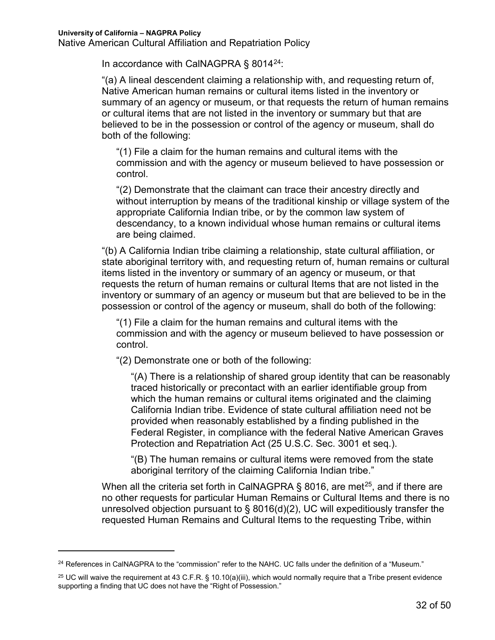$\overline{a}$ 

Native American Cultural Affiliation and Repatriation Policy

In accordance with CalNAGPRA  $\S$  8014<sup>24</sup>:

"(a) A lineal descendent claiming a relationship with, and requesting return of, Native American human remains or cultural items listed in the inventory or summary of an agency or museum, or that requests the return of human remains or cultural items that are not listed in the inventory or summary but that are believed to be in the possession or control of the agency or museum, shall do both of the following:

"(1) File a claim for the human remains and cultural items with the commission and with the agency or museum believed to have possession or control.

"(2) Demonstrate that the claimant can trace their ancestry directly and without interruption by means of the traditional kinship or village system of the appropriate California Indian tribe, or by the common law system of descendancy, to a known individual whose human remains or cultural items are being claimed.

"(b) A California Indian tribe claiming a relationship, state cultural affiliation, or state aboriginal territory with, and requesting return of, human remains or cultural items listed in the inventory or summary of an agency or museum, or that requests the return of human remains or cultural Items that are not listed in the inventory or summary of an agency or museum but that are believed to be in the possession or control of the agency or museum, shall do both of the following:

"(1) File a claim for the human remains and cultural items with the commission and with the agency or museum believed to have possession or control.

"(2) Demonstrate one or both of the following:

"(A) There is a relationship of shared group identity that can be reasonably traced historically or precontact with an earlier identifiable group from which the human remains or cultural items originated and the claiming California Indian tribe. Evidence of state cultural affiliation need not be provided when reasonably established by a finding published in the Federal Register, in compliance with the federal Native American Graves Protection and Repatriation Act (25 U.S.C. Sec. 3001 et seq.).

"(B) The human remains or cultural items were removed from the state aboriginal territory of the claiming California Indian tribe."

When all the criteria set forth in CalNAGPRA § 8016, are met<sup>25</sup>, and if there are no other requests for particular Human Remains or Cultural Items and there is no unresolved objection pursuant to § 8016(d)(2), UC will expeditiously transfer the requested Human Remains and Cultural Items to the requesting Tribe, within

<sup>&</sup>lt;sup>24</sup> References in CalNAGPRA to the "commission" refer to the NAHC. UC falls under the definition of a "Museum."

 $25$  UC will waive the requirement at 43 C.F.R. § 10.10(a)(iii), which would normally require that a Tribe present evidence supporting a finding that UC does not have the "Right of Possession."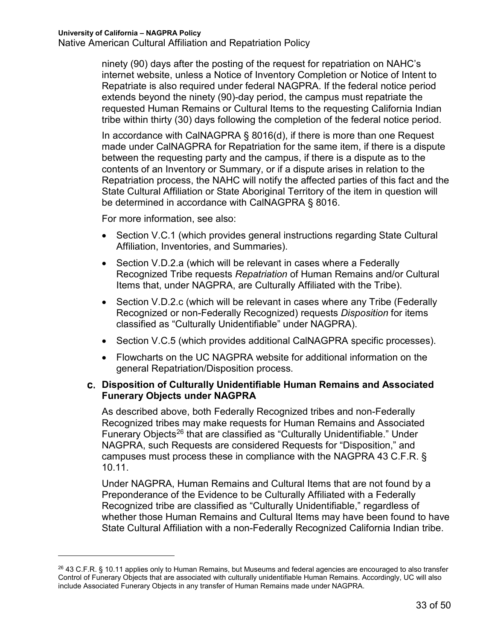ninety (90) days after the posting of the request for repatriation on NAHC's internet website, unless a Notice of Inventory Completion or Notice of Intent to Repatriate is also required under federal NAGPRA. If the federal notice period extends beyond the ninety (90)-day period, the campus must repatriate the requested Human Remains or Cultural Items to the requesting California Indian tribe within thirty (30) days following the completion of the federal notice period.

In accordance with CalNAGPRA § 8016(d), if there is more than one Request made under CalNAGPRA for Repatriation for the same item, if there is a dispute between the requesting party and the campus, if there is a dispute as to the contents of an Inventory or Summary, or if a dispute arises in relation to the Repatriation process, the NAHC will notify the affected parties of this fact and the State Cultural Affiliation or State Aboriginal Territory of the item in question will be determined in accordance with CalNAGPRA § 8016.

For more information, see also:

 $\overline{a}$ 

- Section V.C.1 (which provides general instructions regarding State Cultural Affiliation, Inventories, and Summaries).
- Section V.D.2.a (which will be relevant in cases where a Federally Recognized Tribe requests *Repatriation* of Human Remains and/or Cultural Items that, under NAGPRA, are Culturally Affiliated with the Tribe).
- Section V.D.2.c (which will be relevant in cases where any Tribe (Federally Recognized or non-Federally Recognized) requests *Disposition* for items classified as "Culturally Unidentifiable" under NAGPRA).
- Section V.C.5 (which provides additional CalNAGPRA specific processes).
- Flowcharts on the UC NAGPRA website for additional information on the general Repatriation/Disposition process.

# **Disposition of Culturally Unidentifiable Human Remains and Associated Funerary Objects under NAGPRA**

As described above, both Federally Recognized tribes and non-Federally Recognized tribes may make requests for Human Remains and Associated Funerary Objects<sup>26</sup> that are classified as "Culturally Unidentifiable." Under NAGPRA, such Requests are considered Requests for "Disposition," and campuses must process these in compliance with the NAGPRA 43 C.F.R. § 10.11.

Under NAGPRA, Human Remains and Cultural Items that are not found by a Preponderance of the Evidence to be Culturally Affiliated with a Federally Recognized tribe are classified as "Culturally Unidentifiable," regardless of whether those Human Remains and Cultural Items may have been found to have State Cultural Affiliation with a non-Federally Recognized California Indian tribe.

<sup>&</sup>lt;sup>26</sup> 43 C.F.R. § 10.11 applies only to Human Remains, but Museums and federal agencies are encouraged to also transfer Control of Funerary Objects that are associated with culturally unidentifiable Human Remains. Accordingly, UC will also include Associated Funerary Objects in any transfer of Human Remains made under NAGPRA.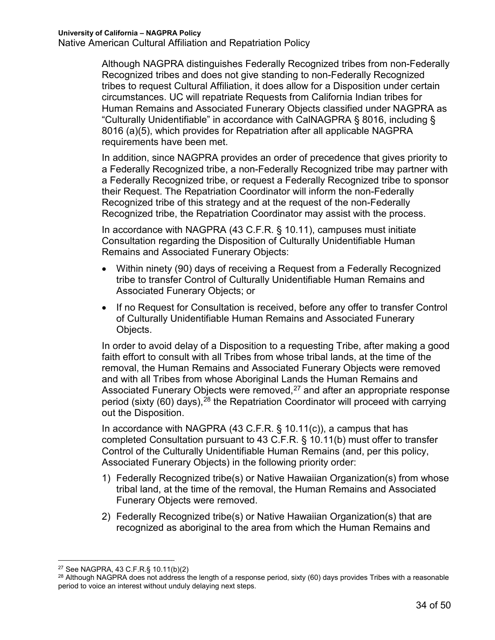Although NAGPRA distinguishes Federally Recognized tribes from non-Federally Recognized tribes and does not give standing to non-Federally Recognized tribes to request Cultural Affiliation, it does allow for a Disposition under certain circumstances. UC will repatriate Requests from California Indian tribes for Human Remains and Associated Funerary Objects classified under NAGPRA as "Culturally Unidentifiable" in accordance with CalNAGPRA § 8016, including § 8016 (a)(5), which provides for Repatriation after all applicable NAGPRA requirements have been met.

In addition, since NAGPRA provides an order of precedence that gives priority to a Federally Recognized tribe, a non-Federally Recognized tribe may partner with a Federally Recognized tribe, or request a Federally Recognized tribe to sponsor their Request. The Repatriation Coordinator will inform the non-Federally Recognized tribe of this strategy and at the request of the non-Federally Recognized tribe, the Repatriation Coordinator may assist with the process.

In accordance with NAGPRA (43 C.F.R. § 10.11), campuses must initiate Consultation regarding the Disposition of Culturally Unidentifiable Human Remains and Associated Funerary Objects:

- Within ninety (90) days of receiving a Request from a Federally Recognized tribe to transfer Control of Culturally Unidentifiable Human Remains and Associated Funerary Objects; or
- If no Request for Consultation is received, before any offer to transfer Control of Culturally Unidentifiable Human Remains and Associated Funerary Objects.

In order to avoid delay of a Disposition to a requesting Tribe, after making a good faith effort to consult with all Tribes from whose tribal lands, at the time of the removal, the Human Remains and Associated Funerary Objects were removed and with all Tribes from whose Aboriginal Lands the Human Remains and Associated Funerary Objects were removed, $27$  and after an appropriate response period (sixty (60) days), $^{28}$  the Repatriation Coordinator will proceed with carrying out the Disposition.

In accordance with NAGPRA  $(43 \text{ C.F.R.} \S 10.11(c))$ , a campus that has completed Consultation pursuant to 43 C.F.R. § 10.11(b) must offer to transfer Control of the Culturally Unidentifiable Human Remains (and, per this policy, Associated Funerary Objects) in the following priority order:

- 1) Federally Recognized tribe(s) or Native Hawaiian Organization(s) from whose tribal land, at the time of the removal, the Human Remains and Associated Funerary Objects were removed.
- 2) Federally Recognized tribe(s) or Native Hawaiian Organization(s) that are recognized as aboriginal to the area from which the Human Remains and

 <sup>27</sup> See NAGPRA, 43 C.F.R.§ 10.11(b)(2)

<sup>&</sup>lt;sup>28</sup> Although NAGPRA does not address the length of a response period, sixty (60) days provides Tribes with a reasonable period to voice an interest without unduly delaying next steps.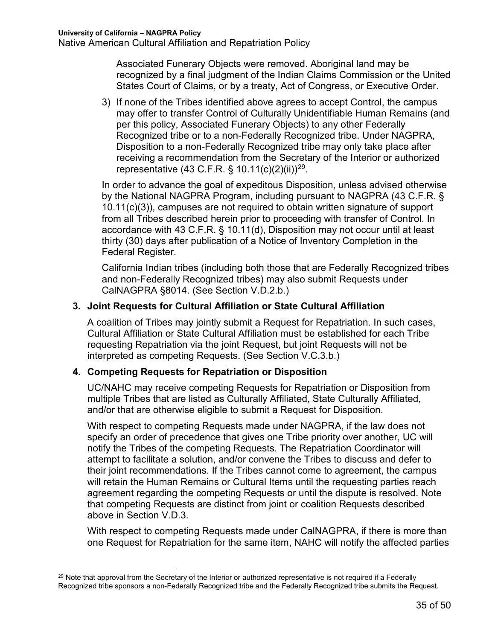Associated Funerary Objects were removed. Aboriginal land may be recognized by a final judgment of the Indian Claims Commission or the United States Court of Claims, or by a treaty, Act of Congress, or Executive Order.

3) If none of the Tribes identified above agrees to accept Control, the campus may offer to transfer Control of Culturally Unidentifiable Human Remains (and per this policy, Associated Funerary Objects) to any other Federally Recognized tribe or to a non-Federally Recognized tribe. Under NAGPRA, Disposition to a non-Federally Recognized tribe may only take place after receiving a recommendation from the Secretary of the Interior or authorized representative (43 C.F.R. § 10.11(c)(2)(ii))<sup>29</sup>.

In order to advance the goal of expeditous Disposition, unless advised otherwise by the National NAGPRA Program, including pursuant to NAGPRA (43 C.F.R. § 10.11(c)(3)), campuses are not required to obtain written signature of support from all Tribes described herein prior to proceeding with transfer of Control. In accordance with 43 C.F.R. § 10.11(d), Disposition may not occur until at least thirty (30) days after publication of a Notice of Inventory Completion in the Federal Register.

California Indian tribes (including both those that are Federally Recognized tribes and non-Federally Recognized tribes) may also submit Requests under CalNAGPRA §8014. (See Section V.D.2.b.)

#### **3. Joint Requests for Cultural Affiliation or State Cultural Affiliation**

A coalition of Tribes may jointly submit a Request for Repatriation. In such cases, Cultural Affiliation or State Cultural Affiliation must be established for each Tribe requesting Repatriation via the joint Request, but joint Requests will not be interpreted as competing Requests. (See Section V.C.3.b.)

#### **4. Competing Requests for Repatriation or Disposition**

UC/NAHC may receive competing Requests for Repatriation or Disposition from multiple Tribes that are listed as Culturally Affiliated, State Culturally Affiliated, and/or that are otherwise eligible to submit a Request for Disposition.

With respect to competing Requests made under NAGPRA, if the law does not specify an order of precedence that gives one Tribe priority over another, UC will notify the Tribes of the competing Requests. The Repatriation Coordinator will attempt to facilitate a solution, and/or convene the Tribes to discuss and defer to their joint recommendations. If the Tribes cannot come to agreement, the campus will retain the Human Remains or Cultural Items until the requesting parties reach agreement regarding the competing Requests or until the dispute is resolved. Note that competing Requests are distinct from joint or coalition Requests described above in Section V.D.3.

With respect to competing Requests made under CalNAGPRA, if there is more than one Request for Repatriation for the same item, NAHC will notify the affected parties

<sup>&</sup>lt;sup>29</sup> Note that approval from the Secretary of the Interior or authorized representative is not required if a Federally Recognized tribe sponsors a non-Federally Recognized tribe and the Federally Recognized tribe submits the Request.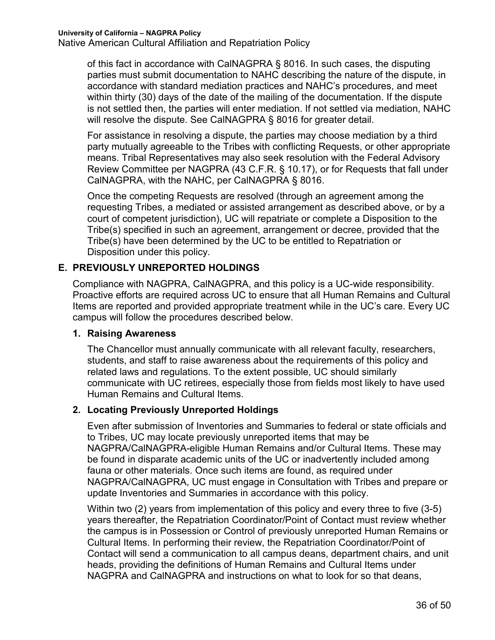of this fact in accordance with CalNAGPRA § 8016. In such cases, the disputing parties must submit documentation to NAHC describing the nature of the dispute, in accordance with standard mediation practices and NAHC's procedures, and meet within thirty (30) days of the date of the mailing of the documentation. If the dispute is not settled then, the parties will enter mediation. If not settled via mediation, NAHC will resolve the dispute. See CalNAGPRA § 8016 for greater detail.

For assistance in resolving a dispute, the parties may choose mediation by a third party mutually agreeable to the Tribes with conflicting Requests, or other appropriate means. Tribal Representatives may also seek resolution with the Federal Advisory Review Committee per NAGPRA (43 C.F.R. § 10.17), or for Requests that fall under CalNAGPRA, with the NAHC, per CalNAGPRA § 8016.

Once the competing Requests are resolved (through an agreement among the requesting Tribes, a mediated or assisted arrangement as described above, or by a court of competent jurisdiction), UC will repatriate or complete a Disposition to the Tribe(s) specified in such an agreement, arrangement or decree, provided that the Tribe(s) have been determined by the UC to be entitled to Repatriation or Disposition under this policy.

### **E. PREVIOUSLY UNREPORTED HOLDINGS**

Compliance with NAGPRA, CalNAGPRA, and this policy is a UC-wide responsibility. Proactive efforts are required across UC to ensure that all Human Remains and Cultural Items are reported and provided appropriate treatment while in the UC's care. Every UC campus will follow the procedures described below.

#### **1. Raising Awareness**

The Chancellor must annually communicate with all relevant faculty, researchers, students, and staff to raise awareness about the requirements of this policy and related laws and regulations. To the extent possible, UC should similarly communicate with UC retirees, especially those from fields most likely to have used Human Remains and Cultural Items.

### **2. Locating Previously Unreported Holdings**

Even after submission of Inventories and Summaries to federal or state officials and to Tribes, UC may locate previously unreported items that may be NAGPRA/CalNAGPRA-eligible Human Remains and/or Cultural Items. These may be found in disparate academic units of the UC or inadvertently included among fauna or other materials. Once such items are found, as required under NAGPRA/CalNAGPRA, UC must engage in Consultation with Tribes and prepare or update Inventories and Summaries in accordance with this policy.

Within two (2) years from implementation of this policy and every three to five (3-5) years thereafter, the Repatriation Coordinator/Point of Contact must review whether the campus is in Possession or Control of previously unreported Human Remains or Cultural Items. In performing their review, the Repatriation Coordinator/Point of Contact will send a communication to all campus deans, department chairs, and unit heads, providing the definitions of Human Remains and Cultural Items under NAGPRA and CalNAGPRA and instructions on what to look for so that deans,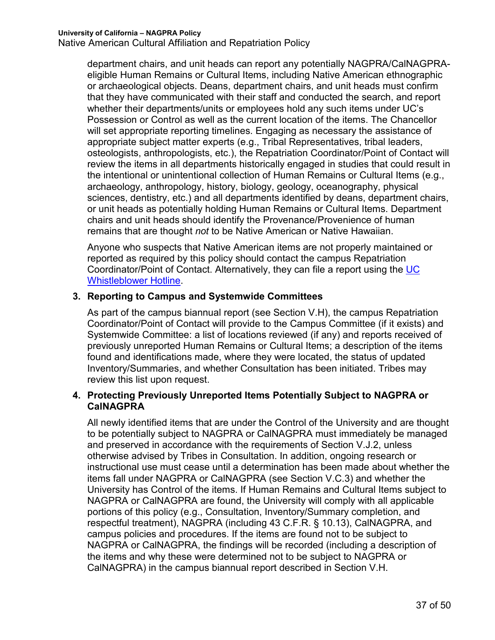Native American Cultural Affiliation and Repatriation Policy

department chairs, and unit heads can report any potentially NAGPRA/CalNAGPRAeligible Human Remains or Cultural Items, including Native American ethnographic or archaeological objects. Deans, department chairs, and unit heads must confirm that they have communicated with their staff and conducted the search, and report whether their departments/units or employees hold any such items under UC's Possession or Control as well as the current location of the items. The Chancellor will set appropriate reporting timelines. Engaging as necessary the assistance of appropriate subject matter experts (e.g., Tribal Representatives, tribal leaders, osteologists, anthropologists, etc.), the Repatriation Coordinator/Point of Contact will review the items in all departments historically engaged in studies that could result in the intentional or unintentional collection of Human Remains or Cultural Items (e.g., archaeology, anthropology, history, biology, geology, oceanography, physical sciences, dentistry, etc.) and all departments identified by deans, department chairs, or unit heads as potentially holding Human Remains or Cultural Items. Department chairs and unit heads should identify the Provenance/Provenience of human remains that are thought *not* to be Native American or Native Hawaiian.

Anyone who suspects that Native American items are not properly maintained or reported as required by this policy should contact the campus Repatriation Coordinator/Point of Contact. Alternatively, they can file a report using the UC Whistleblower Hotline.

#### **3. Reporting to Campus and Systemwide Committees**

As part of the campus biannual report (see Section V.H), the campus Repatriation Coordinator/Point of Contact will provide to the Campus Committee (if it exists) and Systemwide Committee: a list of locations reviewed (if any) and reports received of previously unreported Human Remains or Cultural Items; a description of the items found and identifications made, where they were located, the status of updated Inventory/Summaries, and whether Consultation has been initiated. Tribes may review this list upon request.

#### **4. Protecting Previously Unreported Items Potentially Subject to NAGPRA or CalNAGPRA**

All newly identified items that are under the Control of the University and are thought to be potentially subject to NAGPRA or CalNAGPRA must immediately be managed and preserved in accordance with the requirements of Section V.J.2, unless otherwise advised by Tribes in Consultation. In addition, ongoing research or instructional use must cease until a determination has been made about whether the items fall under NAGPRA or CalNAGPRA (see Section V.C.3) and whether the University has Control of the items. If Human Remains and Cultural Items subject to NAGPRA or CalNAGPRA are found, the University will comply with all applicable portions of this policy (e.g., Consultation, Inventory/Summary completion, and respectful treatment), NAGPRA (including 43 C.F.R. § 10.13), CalNAGPRA, and campus policies and procedures. If the items are found not to be subject to NAGPRA or CalNAGPRA, the findings will be recorded (including a description of the items and why these were determined not to be subject to NAGPRA or CalNAGPRA) in the campus biannual report described in Section V.H.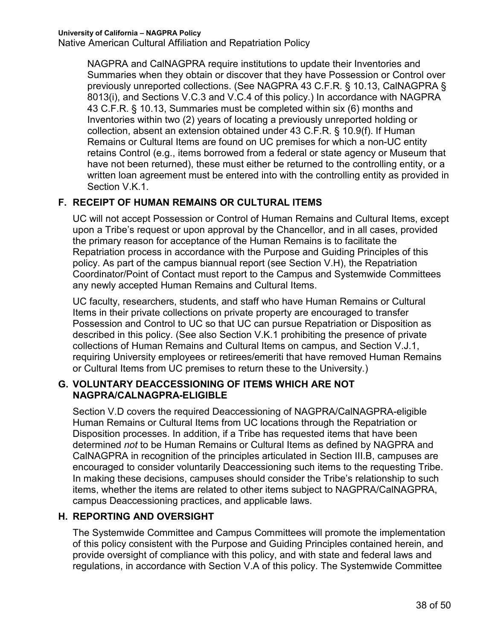NAGPRA and CalNAGPRA require institutions to update their Inventories and Summaries when they obtain or discover that they have Possession or Control over previously unreported collections. (See NAGPRA 43 C.F.R. § 10.13, CalNAGPRA § 8013(i), and Sections V.C.3 and V.C.4 of this policy.) In accordance with NAGPRA 43 C.F.R. § 10.13, Summaries must be completed within six (6) months and Inventories within two (2) years of locating a previously unreported holding or collection, absent an extension obtained under 43 C.F.R. § 10.9(f). If Human Remains or Cultural Items are found on UC premises for which a non-UC entity retains Control (e.g., items borrowed from a federal or state agency or Museum that have not been returned), these must either be returned to the controlling entity, or a written loan agreement must be entered into with the controlling entity as provided in Section V.K.1.

### **F. RECEIPT OF HUMAN REMAINS OR CULTURAL ITEMS**

UC will not accept Possession or Control of Human Remains and Cultural Items, except upon a Tribe's request or upon approval by the Chancellor, and in all cases, provided the primary reason for acceptance of the Human Remains is to facilitate the Repatriation process in accordance with the Purpose and Guiding Principles of this policy. As part of the campus biannual report (see Section V.H), the Repatriation Coordinator/Point of Contact must report to the Campus and Systemwide Committees any newly accepted Human Remains and Cultural Items.

UC faculty, researchers, students, and staff who have Human Remains or Cultural Items in their private collections on private property are encouraged to transfer Possession and Control to UC so that UC can pursue Repatriation or Disposition as described in this policy. (See also Section V.K.1 prohibiting the presence of private collections of Human Remains and Cultural Items on campus, and Section V.J.1, requiring University employees or retirees/emeriti that have removed Human Remains or Cultural Items from UC premises to return these to the University.)

### **G. VOLUNTARY DEACCESSIONING OF ITEMS WHICH ARE NOT NAGPRA/CALNAGPRA-ELIGIBLE**

Section V.D covers the required Deaccessioning of NAGPRA/CalNAGPRA-eligible Human Remains or Cultural Items from UC locations through the Repatriation or Disposition processes. In addition, if a Tribe has requested items that have been determined *not* to be Human Remains or Cultural Items as defined by NAGPRA and CalNAGPRA in recognition of the principles articulated in Section III.B, campuses are encouraged to consider voluntarily Deaccessioning such items to the requesting Tribe. In making these decisions, campuses should consider the Tribe's relationship to such items, whether the items are related to other items subject to NAGPRA/CalNAGPRA, campus Deaccessioning practices, and applicable laws.

# **H. REPORTING AND OVERSIGHT**

The Systemwide Committee and Campus Committees will promote the implementation of this policy consistent with the Purpose and Guiding Principles contained herein, and provide oversight of compliance with this policy, and with state and federal laws and regulations, in accordance with Section V.A of this policy. The Systemwide Committee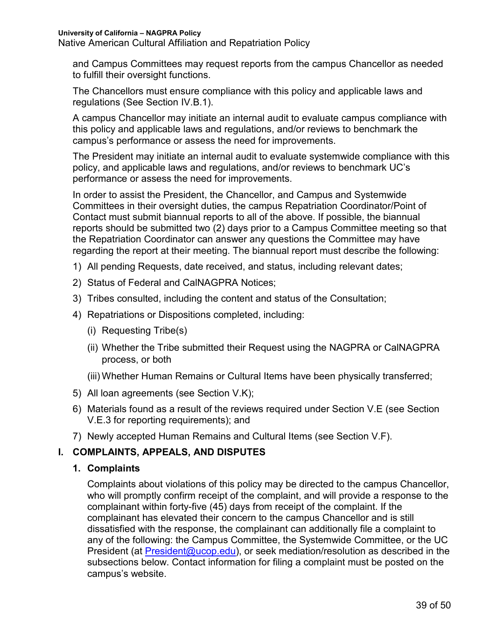Native American Cultural Affiliation and Repatriation Policy

and Campus Committees may request reports from the campus Chancellor as needed to fulfill their oversight functions.

The Chancellors must ensure compliance with this policy and applicable laws and regulations (See Section IV.B.1).

A campus Chancellor may initiate an internal audit to evaluate campus compliance with this policy and applicable laws and regulations, and/or reviews to benchmark the campus's performance or assess the need for improvements.

The President may initiate an internal audit to evaluate systemwide compliance with this policy, and applicable laws and regulations, and/or reviews to benchmark UC's performance or assess the need for improvements.

In order to assist the President, the Chancellor, and Campus and Systemwide Committees in their oversight duties, the campus Repatriation Coordinator/Point of Contact must submit biannual reports to all of the above. If possible, the biannual reports should be submitted two (2) days prior to a Campus Committee meeting so that the Repatriation Coordinator can answer any questions the Committee may have regarding the report at their meeting. The biannual report must describe the following:

- 1) All pending Requests, date received, and status, including relevant dates;
- 2) Status of Federal and CalNAGPRA Notices;
- 3) Tribes consulted, including the content and status of the Consultation;
- 4) Repatriations or Dispositions completed, including:
	- (i) Requesting Tribe(s)
	- (ii) Whether the Tribe submitted their Request using the NAGPRA or CalNAGPRA process, or both
	- (iii) Whether Human Remains or Cultural Items have been physically transferred;
- 5) All loan agreements (see Section V.K);
- 6) Materials found as a result of the reviews required under Section V.E (see Section V.E.3 for reporting requirements); and
- 7) Newly accepted Human Remains and Cultural Items (see Section V.F).

### **I. COMPLAINTS, APPEALS, AND DISPUTES**

#### **1. Complaints**

Complaints about violations of this policy may be directed to the campus Chancellor, who will promptly confirm receipt of the complaint, and will provide a response to the complainant within forty-five (45) days from receipt of the complaint. If the complainant has elevated their concern to the campus Chancellor and is still dissatisfied with the response, the complainant can additionally file a complaint to any of the following: the Campus Committee, the Systemwide Committee, or the UC President (at President@ucop.edu), or seek mediation/resolution as described in the subsections below. Contact information for filing a complaint must be posted on the campus's website.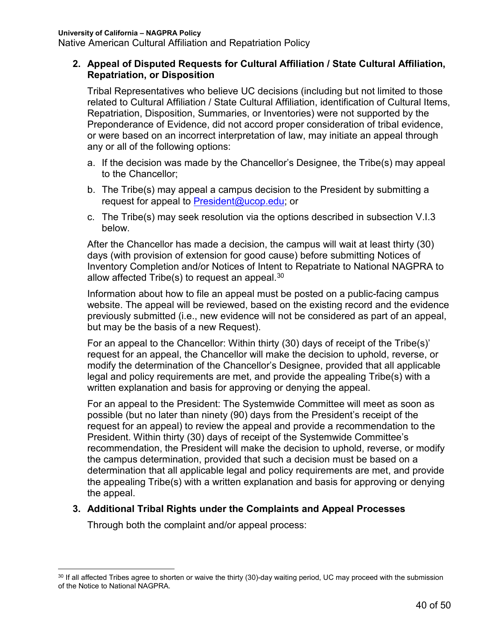#### **2. Appeal of Disputed Requests for Cultural Affiliation / State Cultural Affiliation, Repatriation, or Disposition**

Tribal Representatives who believe UC decisions (including but not limited to those related to Cultural Affiliation / State Cultural Affiliation, identification of Cultural Items, Repatriation, Disposition, Summaries, or Inventories) were not supported by the Preponderance of Evidence, did not accord proper consideration of tribal evidence, or were based on an incorrect interpretation of law, may initiate an appeal through any or all of the following options:

- a. If the decision was made by the Chancellor's Designee, the Tribe(s) may appeal to the Chancellor;
- b. The Tribe(s) may appeal a campus decision to the President by submitting a request for appeal to President@ucop.edu: or
- c. The Tribe(s) may seek resolution via the options described in subsection V.I.3 below.

After the Chancellor has made a decision, the campus will wait at least thirty (30) days (with provision of extension for good cause) before submitting Notices of Inventory Completion and/or Notices of Intent to Repatriate to National NAGPRA to allow affected Tribe(s) to request an appeal. $^{\rm 30}$ 

Information about how to file an appeal must be posted on a public-facing campus website. The appeal will be reviewed, based on the existing record and the evidence previously submitted (i.e., new evidence will not be considered as part of an appeal, but may be the basis of a new Request).

For an appeal to the Chancellor: Within thirty (30) days of receipt of the Tribe(s)' request for an appeal, the Chancellor will make the decision to uphold, reverse, or modify the determination of the Chancellor's Designee, provided that all applicable legal and policy requirements are met, and provide the appealing Tribe(s) with a written explanation and basis for approving or denying the appeal.

For an appeal to the President: The Systemwide Committee will meet as soon as possible (but no later than ninety (90) days from the President's receipt of the request for an appeal) to review the appeal and provide a recommendation to the President. Within thirty (30) days of receipt of the Systemwide Committee's recommendation, the President will make the decision to uphold, reverse, or modify the campus determination, provided that such a decision must be based on a determination that all applicable legal and policy requirements are met, and provide the appealing Tribe(s) with a written explanation and basis for approving or denying the appeal.

#### **3. Additional Tribal Rights under the Complaints and Appeal Processes**

Through both the complaint and/or appeal process:

<sup>&</sup>lt;sup>30</sup> If all affected Tribes agree to shorten or waive the thirty (30)-day waiting period, UC may proceed with the submission of the Notice to National NAGPRA.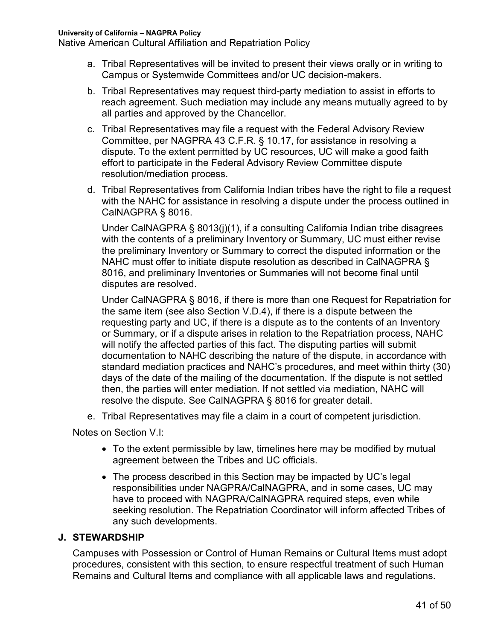- a. Tribal Representatives will be invited to present their views orally or in writing to Campus or Systemwide Committees and/or UC decision-makers.
- b. Tribal Representatives may request third-party mediation to assist in efforts to reach agreement. Such mediation may include any means mutually agreed to by all parties and approved by the Chancellor.
- c. Tribal Representatives may file a request with the Federal Advisory Review Committee, per NAGPRA 43 C.F.R. § 10.17, for assistance in resolving a dispute. To the extent permitted by UC resources, UC will make a good faith effort to participate in the Federal Advisory Review Committee dispute resolution/mediation process.
- d. Tribal Representatives from California Indian tribes have the right to file a request with the NAHC for assistance in resolving a dispute under the process outlined in CalNAGPRA § 8016.

Under CalNAGPRA § 8013(j)(1), if a consulting California Indian tribe disagrees with the contents of a preliminary Inventory or Summary, UC must either revise the preliminary Inventory or Summary to correct the disputed information or the NAHC must offer to initiate dispute resolution as described in CalNAGPRA § 8016, and preliminary Inventories or Summaries will not become final until disputes are resolved.

Under CalNAGPRA § 8016, if there is more than one Request for Repatriation for the same item (see also Section V.D.4), if there is a dispute between the requesting party and UC, if there is a dispute as to the contents of an Inventory or Summary, or if a dispute arises in relation to the Repatriation process, NAHC will notify the affected parties of this fact. The disputing parties will submit documentation to NAHC describing the nature of the dispute, in accordance with standard mediation practices and NAHC's procedures, and meet within thirty (30) days of the date of the mailing of the documentation. If the dispute is not settled then, the parties will enter mediation. If not settled via mediation, NAHC will resolve the dispute. See CalNAGPRA § 8016 for greater detail.

e. Tribal Representatives may file a claim in a court of competent jurisdiction.

Notes on Section V.I:

- To the extent permissible by law, timelines here may be modified by mutual agreement between the Tribes and UC officials.
- The process described in this Section may be impacted by UC's legal responsibilities under NAGPRA/CalNAGPRA, and in some cases, UC may have to proceed with NAGPRA/CalNAGPRA required steps, even while seeking resolution. The Repatriation Coordinator will inform affected Tribes of any such developments.

### **J. STEWARDSHIP**

Campuses with Possession or Control of Human Remains or Cultural Items must adopt procedures, consistent with this section, to ensure respectful treatment of such Human Remains and Cultural Items and compliance with all applicable laws and regulations.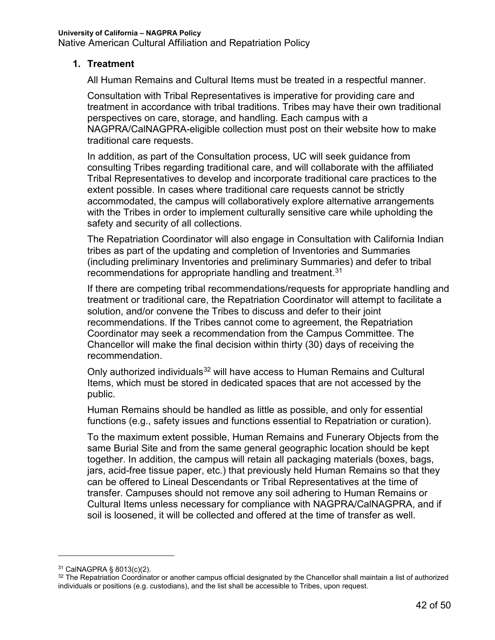#### **1. Treatment**

All Human Remains and Cultural Items must be treated in a respectful manner.

Consultation with Tribal Representatives is imperative for providing care and treatment in accordance with tribal traditions. Tribes may have their own traditional perspectives on care, storage, and handling. Each campus with a NAGPRA/CalNAGPRA-eligible collection must post on their website how to make traditional care requests.

In addition, as part of the Consultation process, UC will seek guidance from consulting Tribes regarding traditional care, and will collaborate with the affiliated Tribal Representatives to develop and incorporate traditional care practices to the extent possible. In cases where traditional care requests cannot be strictly accommodated, the campus will collaboratively explore alternative arrangements with the Tribes in order to implement culturally sensitive care while upholding the safety and security of all collections.

The Repatriation Coordinator will also engage in Consultation with California Indian tribes as part of the updating and completion of Inventories and Summaries (including preliminary Inventories and preliminary Summaries) and defer to tribal recommendations for appropriate handling and treatment. $^{\rm 31}$ 

If there are competing tribal recommendations/requests for appropriate handling and treatment or traditional care, the Repatriation Coordinator will attempt to facilitate a solution, and/or convene the Tribes to discuss and defer to their joint recommendations. If the Tribes cannot come to agreement, the Repatriation Coordinator may seek a recommendation from the Campus Committee. The Chancellor will make the final decision within thirty (30) days of receiving the recommendation.

Only authorized individuals<sup>32</sup> will have access to Human Remains and Cultural Items, which must be stored in dedicated spaces that are not accessed by the public.

Human Remains should be handled as little as possible, and only for essential functions (e.g., safety issues and functions essential to Repatriation or curation).

To the maximum extent possible, Human Remains and Funerary Objects from the same Burial Site and from the same general geographic location should be kept together. In addition, the campus will retain all packaging materials (boxes, bags, jars, acid-free tissue paper, etc.) that previously held Human Remains so that they can be offered to Lineal Descendants or Tribal Representatives at the time of transfer. Campuses should not remove any soil adhering to Human Remains or Cultural Items unless necessary for compliance with NAGPRA/CalNAGPRA, and if soil is loosened, it will be collected and offered at the time of transfer as well.

 $\overline{a}$ 

<sup>31</sup> CalNAGPRA § 8013(c)(2).

<sup>&</sup>lt;sup>32</sup> The Repatriation Coordinator or another campus official designated by the Chancellor shall maintain a list of authorized individuals or positions (e.g. custodians), and the list shall be accessible to Tribes, upon request.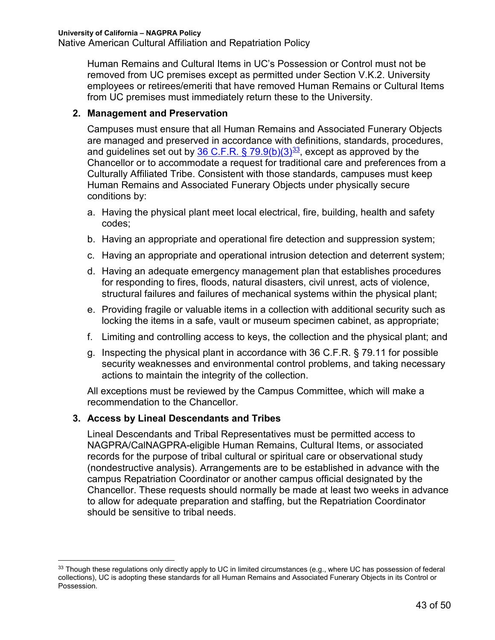Human Remains and Cultural Items in UC's Possession or Control must not be removed from UC premises except as permitted under Section V.K.2. University employees or retirees/emeriti that have removed Human Remains or Cultural Items from UC premises must immediately return these to the University.

#### **2. Management and Preservation**

Campuses must ensure that all Human Remains and Associated Funerary Objects are managed and preserved in accordance with definitions, standards, procedures, and guidelines set out by 36 C.F.R. § 79.9(b)(3) $\frac{33}{3}$ , except as approved by the Chancellor or to accommodate a request for traditional care and preferences from a Culturally Affiliated Tribe. Consistent with those standards, campuses must keep Human Remains and Associated Funerary Objects under physically secure conditions by:

- a. Having the physical plant meet local electrical, fire, building, health and safety codes;
- b. Having an appropriate and operational fire detection and suppression system;
- c. Having an appropriate and operational intrusion detection and deterrent system;
- d. Having an adequate emergency management plan that establishes procedures for responding to fires, floods, natural disasters, civil unrest, acts of violence, structural failures and failures of mechanical systems within the physical plant;
- e. Providing fragile or valuable items in a collection with additional security such as locking the items in a safe, vault or museum specimen cabinet, as appropriate;
- f. Limiting and controlling access to keys, the collection and the physical plant; and
- g. Inspecting the physical plant in accordance with 36 C.F.R. § 79.11 for possible security weaknesses and environmental control problems, and taking necessary actions to maintain the integrity of the collection.

All exceptions must be reviewed by the Campus Committee, which will make a recommendation to the Chancellor.

### **3. Access by Lineal Descendants and Tribes**

Lineal Descendants and Tribal Representatives must be permitted access to NAGPRA/CalNAGPRA-eligible Human Remains, Cultural Items, or associated records for the purpose of tribal cultural or spiritual care or observational study (nondestructive analysis). Arrangements are to be established in advance with the campus Repatriation Coordinator or another campus official designated by the Chancellor. These requests should normally be made at least two weeks in advance to allow for adequate preparation and staffing, but the Repatriation Coordinator should be sensitive to tribal needs.

<sup>33</sup> Though these regulations only directly apply to UC in limited circumstances (e.g., where UC has possession of federal collections), UC is adopting these standards for all Human Remains and Associated Funerary Objects in its Control or Possession.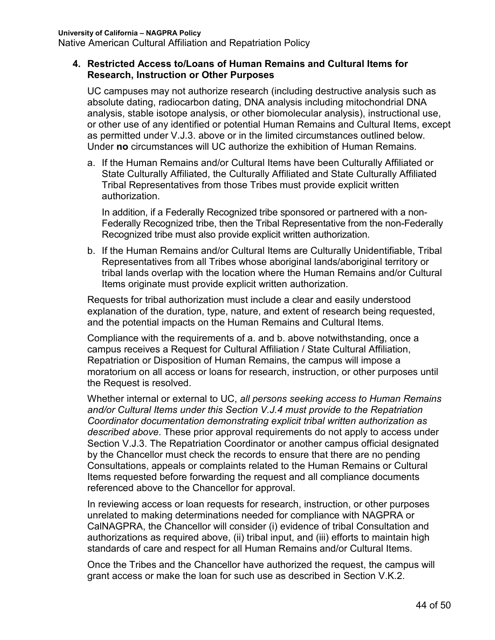#### **4. Restricted Access to/Loans of Human Remains and Cultural Items for Research, Instruction or Other Purposes**

UC campuses may not authorize research (including destructive analysis such as absolute dating, radiocarbon dating, DNA analysis including mitochondrial DNA analysis, stable isotope analysis, or other biomolecular analysis), instructional use, or other use of any identified or potential Human Remains and Cultural Items, except as permitted under V.J.3. above or in the limited circumstances outlined below. Under **no** circumstances will UC authorize the exhibition of Human Remains.

a. If the Human Remains and/or Cultural Items have been Culturally Affiliated or State Culturally Affiliated, the Culturally Affiliated and State Culturally Affiliated Tribal Representatives from those Tribes must provide explicit written authorization.

In addition, if a Federally Recognized tribe sponsored or partnered with a non-Federally Recognized tribe, then the Tribal Representative from the non-Federally Recognized tribe must also provide explicit written authorization.

b. If the Human Remains and/or Cultural Items are Culturally Unidentifiable, Tribal Representatives from all Tribes whose aboriginal lands/aboriginal territory or tribal lands overlap with the location where the Human Remains and/or Cultural Items originate must provide explicit written authorization.

Requests for tribal authorization must include a clear and easily understood explanation of the duration, type, nature, and extent of research being requested, and the potential impacts on the Human Remains and Cultural Items.

Compliance with the requirements of a. and b. above notwithstanding, once a campus receives a Request for Cultural Affiliation / State Cultural Affiliation, Repatriation or Disposition of Human Remains, the campus will impose a moratorium on all access or loans for research, instruction, or other purposes until the Request is resolved.

Whether internal or external to UC, *all persons seeking access to Human Remains and/or Cultural Items under this Section V.J.4 must provide to the Repatriation Coordinator documentation demonstrating explicit tribal written authorization as described above*. These prior approval requirements do not apply to access under Section V.J.3. The Repatriation Coordinator or another campus official designated by the Chancellor must check the records to ensure that there are no pending Consultations, appeals or complaints related to the Human Remains or Cultural Items requested before forwarding the request and all compliance documents referenced above to the Chancellor for approval.

In reviewing access or loan requests for research, instruction, or other purposes unrelated to making determinations needed for compliance with NAGPRA or CalNAGPRA, the Chancellor will consider (i) evidence of tribal Consultation and authorizations as required above, (ii) tribal input, and (iii) efforts to maintain high standards of care and respect for all Human Remains and/or Cultural Items.

Once the Tribes and the Chancellor have authorized the request, the campus will grant access or make the loan for such use as described in Section V.K.2.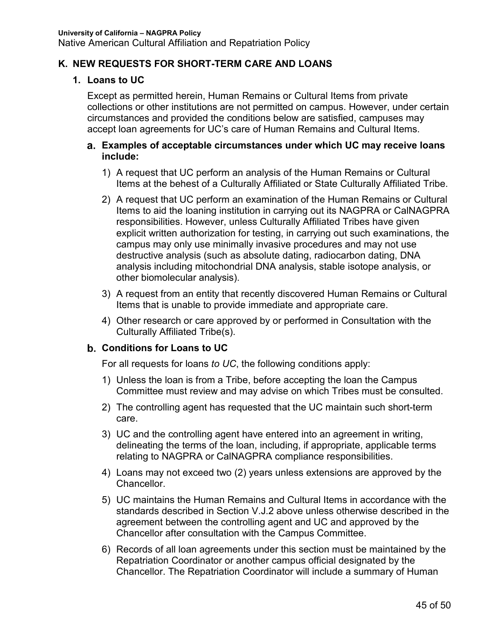### **K. NEW REQUESTS FOR SHORT-TERM CARE AND LOANS**

### **1. Loans to UC**

Except as permitted herein, Human Remains or Cultural Items from private collections or other institutions are not permitted on campus. However, under certain circumstances and provided the conditions below are satisfied, campuses may accept loan agreements for UC's care of Human Remains and Cultural Items.

#### **Examples of acceptable circumstances under which UC may receive loans include:**

- 1) A request that UC perform an analysis of the Human Remains or Cultural Items at the behest of a Culturally Affiliated or State Culturally Affiliated Tribe.
- 2) A request that UC perform an examination of the Human Remains or Cultural Items to aid the loaning institution in carrying out its NAGPRA or CalNAGPRA responsibilities. However, unless Culturally Affiliated Tribes have given explicit written authorization for testing, in carrying out such examinations, the campus may only use minimally invasive procedures and may not use destructive analysis (such as absolute dating, radiocarbon dating, DNA analysis including mitochondrial DNA analysis, stable isotope analysis, or other biomolecular analysis).
- 3) A request from an entity that recently discovered Human Remains or Cultural Items that is unable to provide immediate and appropriate care.
- 4) Other research or care approved by or performed in Consultation with the Culturally Affiliated Tribe(s).

### **Conditions for Loans to UC**

For all requests for loans *to UC*, the following conditions apply:

- 1) Unless the loan is from a Tribe, before accepting the loan the Campus Committee must review and may advise on which Tribes must be consulted.
- 2) The controlling agent has requested that the UC maintain such short-term care.
- 3) UC and the controlling agent have entered into an agreement in writing, delineating the terms of the loan, including, if appropriate, applicable terms relating to NAGPRA or CalNAGPRA compliance responsibilities.
- 4) Loans may not exceed two (2) years unless extensions are approved by the Chancellor.
- 5) UC maintains the Human Remains and Cultural Items in accordance with the standards described in Section V.J.2 above unless otherwise described in the agreement between the controlling agent and UC and approved by the Chancellor after consultation with the Campus Committee.
- 6) Records of all loan agreements under this section must be maintained by the Repatriation Coordinator or another campus official designated by the Chancellor. The Repatriation Coordinator will include a summary of Human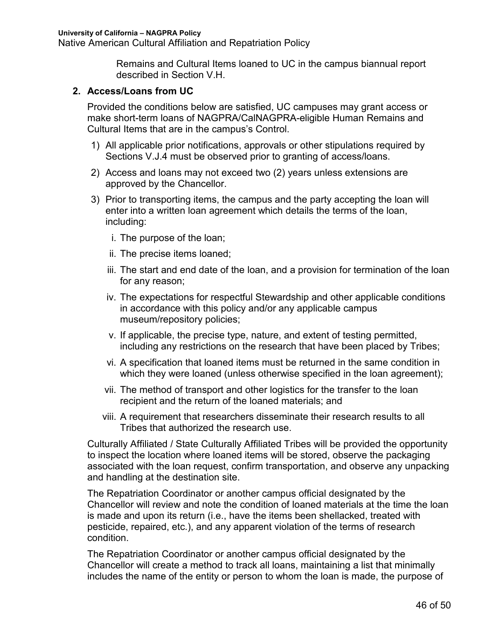Remains and Cultural Items loaned to UC in the campus biannual report described in Section V.H.

#### **2. Access/Loans from UC**

Provided the conditions below are satisfied, UC campuses may grant access or make short-term loans of NAGPRA/CalNAGPRA-eligible Human Remains and Cultural Items that are in the campus's Control.

- 1) All applicable prior notifications, approvals or other stipulations required by Sections V.J.4 must be observed prior to granting of access/loans.
- 2) Access and loans may not exceed two (2) years unless extensions are approved by the Chancellor.
- 3) Prior to transporting items, the campus and the party accepting the loan will enter into a written loan agreement which details the terms of the loan, including:
	- i. The purpose of the loan;
	- ii. The precise items loaned;
	- iii. The start and end date of the loan, and a provision for termination of the loan for any reason;
	- iv. The expectations for respectful Stewardship and other applicable conditions in accordance with this policy and/or any applicable campus museum/repository policies;
	- v. If applicable, the precise type, nature, and extent of testing permitted, including any restrictions on the research that have been placed by Tribes;
	- vi. A specification that loaned items must be returned in the same condition in which they were loaned (unless otherwise specified in the loan agreement);
	- vii. The method of transport and other logistics for the transfer to the loan recipient and the return of the loaned materials; and
	- viii. A requirement that researchers disseminate their research results to all Tribes that authorized the research use.

Culturally Affiliated / State Culturally Affiliated Tribes will be provided the opportunity to inspect the location where loaned items will be stored, observe the packaging associated with the loan request, confirm transportation, and observe any unpacking and handling at the destination site.

The Repatriation Coordinator or another campus official designated by the Chancellor will review and note the condition of loaned materials at the time the loan is made and upon its return (i.e., have the items been shellacked, treated with pesticide, repaired, etc.), and any apparent violation of the terms of research condition.

The Repatriation Coordinator or another campus official designated by the Chancellor will create a method to track all loans, maintaining a list that minimally includes the name of the entity or person to whom the loan is made, the purpose of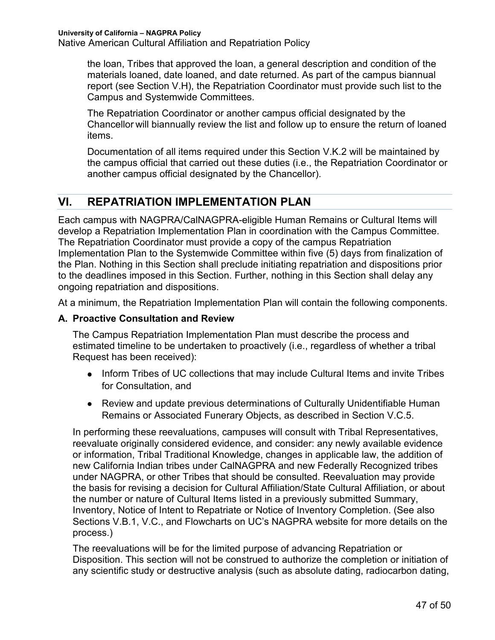the loan, Tribes that approved the loan, a general description and condition of the materials loaned, date loaned, and date returned. As part of the campus biannual report (see Section V.H), the Repatriation Coordinator must provide such list to the Campus and Systemwide Committees.

The Repatriation Coordinator or another campus official designated by the Chancellor will biannually review the list and follow up to ensure the return of loaned items.

Documentation of all items required under this Section V.K.2 will be maintained by the campus official that carried out these duties (i.e., the Repatriation Coordinator or another campus official designated by the Chancellor).

# **VI. REPATRIATION IMPLEMENTATION PLAN**

Each campus with NAGPRA/CalNAGPRA-eligible Human Remains or Cultural Items will develop a Repatriation Implementation Plan in coordination with the Campus Committee. The Repatriation Coordinator must provide a copy of the campus Repatriation Implementation Plan to the Systemwide Committee within five (5) days from finalization of the Plan. Nothing in this Section shall preclude initiating repatriation and dispositions prior to the deadlines imposed in this Section. Further, nothing in this Section shall delay any ongoing repatriation and dispositions.

At a minimum, the Repatriation Implementation Plan will contain the following components.

#### **A. Proactive Consultation and Review**

The Campus Repatriation Implementation Plan must describe the process and estimated timeline to be undertaken to proactively (i.e., regardless of whether a tribal Request has been received):

- Inform Tribes of UC collections that may include Cultural Items and invite Tribes for Consultation, and
- Review and update previous determinations of Culturally Unidentifiable Human Remains or Associated Funerary Objects, as described in Section V.C.5.

In performing these reevaluations, campuses will consult with Tribal Representatives, reevaluate originally considered evidence, and consider: any newly available evidence or information, Tribal Traditional Knowledge, changes in applicable law, the addition of new California Indian tribes under CalNAGPRA and new Federally Recognized tribes under NAGPRA, or other Tribes that should be consulted. Reevaluation may provide the basis for revising a decision for Cultural Affiliation/State Cultural Affiliation, or about the number or nature of Cultural Items listed in a previously submitted Summary, Inventory, Notice of Intent to Repatriate or Notice of Inventory Completion. (See also Sections V.B.1, V.C., and Flowcharts on UC's NAGPRA website for more details on the process.)

The reevaluations will be for the limited purpose of advancing Repatriation or Disposition. This section will not be construed to authorize the completion or initiation of any scientific study or destructive analysis (such as absolute dating, radiocarbon dating,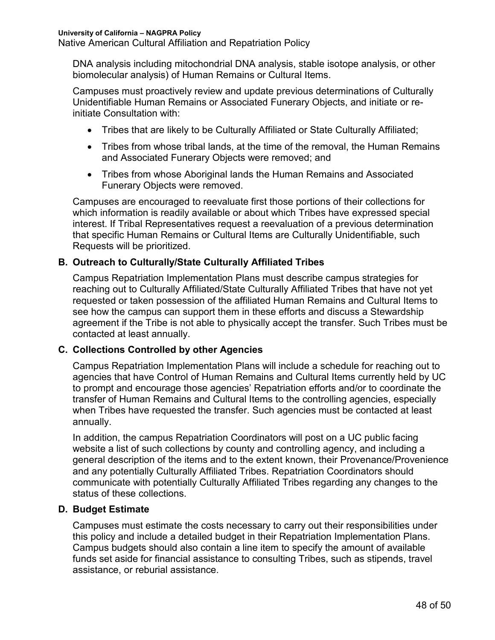DNA analysis including mitochondrial DNA analysis, stable isotope analysis, or other biomolecular analysis) of Human Remains or Cultural Items.

Campuses must proactively review and update previous determinations of Culturally Unidentifiable Human Remains or Associated Funerary Objects, and initiate or reinitiate Consultation with:

- Tribes that are likely to be Culturally Affiliated or State Culturally Affiliated;
- Tribes from whose tribal lands, at the time of the removal, the Human Remains and Associated Funerary Objects were removed; and
- Tribes from whose Aboriginal lands the Human Remains and Associated Funerary Objects were removed.

Campuses are encouraged to reevaluate first those portions of their collections for which information is readily available or about which Tribes have expressed special interest. If Tribal Representatives request a reevaluation of a previous determination that specific Human Remains or Cultural Items are Culturally Unidentifiable, such Requests will be prioritized.

### **B. Outreach to Culturally/State Culturally Affiliated Tribes**

Campus Repatriation Implementation Plans must describe campus strategies for reaching out to Culturally Affiliated/State Culturally Affiliated Tribes that have not yet requested or taken possession of the affiliated Human Remains and Cultural Items to see how the campus can support them in these efforts and discuss a Stewardship agreement if the Tribe is not able to physically accept the transfer. Such Tribes must be contacted at least annually.

#### **C. Collections Controlled by other Agencies**

Campus Repatriation Implementation Plans will include a schedule for reaching out to agencies that have Control of Human Remains and Cultural Items currently held by UC to prompt and encourage those agencies' Repatriation efforts and/or to coordinate the transfer of Human Remains and Cultural Items to the controlling agencies, especially when Tribes have requested the transfer. Such agencies must be contacted at least annually.

In addition, the campus Repatriation Coordinators will post on a UC public facing website a list of such collections by county and controlling agency, and including a general description of the items and to the extent known, their Provenance/Provenience and any potentially Culturally Affiliated Tribes. Repatriation Coordinators should communicate with potentially Culturally Affiliated Tribes regarding any changes to the status of these collections.

#### **D. Budget Estimate**

Campuses must estimate the costs necessary to carry out their responsibilities under this policy and include a detailed budget in their Repatriation Implementation Plans. Campus budgets should also contain a line item to specify the amount of available funds set aside for financial assistance to consulting Tribes, such as stipends, travel assistance, or reburial assistance.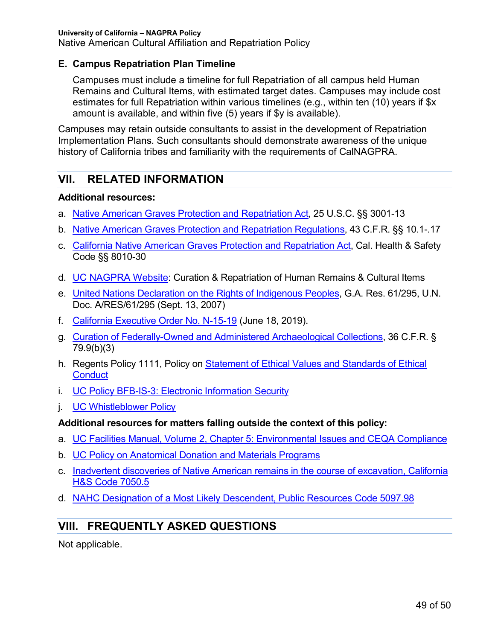Native American Cultural Affiliation and Repatriation Policy

#### **E. Campus Repatriation Plan Timeline**

Campuses must include a timeline for full Repatriation of all campus held Human Remains and Cultural Items, with estimated target dates. Campuses may include cost estimates for full Repatriation within various timelines (e.g., within ten (10) years if \$x amount is available, and within five (5) years if \$y is available).

Campuses may retain outside consultants to assist in the development of Repatriation Implementation Plans. Such consultants should demonstrate awareness of the unique history of California tribes and familiarity with the requirements of CalNAGPRA.

# **VII. RELATED INFORMATION**

#### **Additional resources:**

- a. Native American Graves Protection and Repatriation Act, 25 U.S.C. §§ 3001-13
- b. Native American Graves Protection and Repatriation Regulations, 43 C.F.R. §§ 10.1-.17
- c. California Native American Graves Protection and Repatriation Act, Cal. Health & Safety Code §§ 8010-30
- d. UC NAGPRA Website: Curation & Repatriation of Human Remains & Cultural Items
- e. United Nations Declaration on the Rights of Indigenous Peoples, G.A. Res. 61/295, U.N. Doc. A/RES/61/295 (Sept. 13, 2007)
- f. California Executive Order No. N-15-19 (June 18, 2019).
- g. Curation of Federally-Owned and Administered Archaeological Collections, 36 C.F.R. § 79.9(b)(3)
- h. Regents Policy 1111, Policy on Statement of Ethical Values and Standards of Ethical **Conduct**
- i. UC Policy BFB-IS-3: Electronic Information Security
- j. UC Whistleblower Policy

#### **Additional resources for matters falling outside the context of this policy:**

- a. UC Facilities Manual, Volume 2, Chapter 5: Environmental Issues and CEQA Compliance
- b. UC Policy on Anatomical Donation and Materials Programs
- c. Inadvertent discoveries of Native American remains in the course of excavation, California H&S Code 7050.5
- d. NAHC Designation of a Most Likely Descendent, Public Resources Code 5097.98

# **VIII. FREQUENTLY ASKED QUESTIONS**

Not applicable.